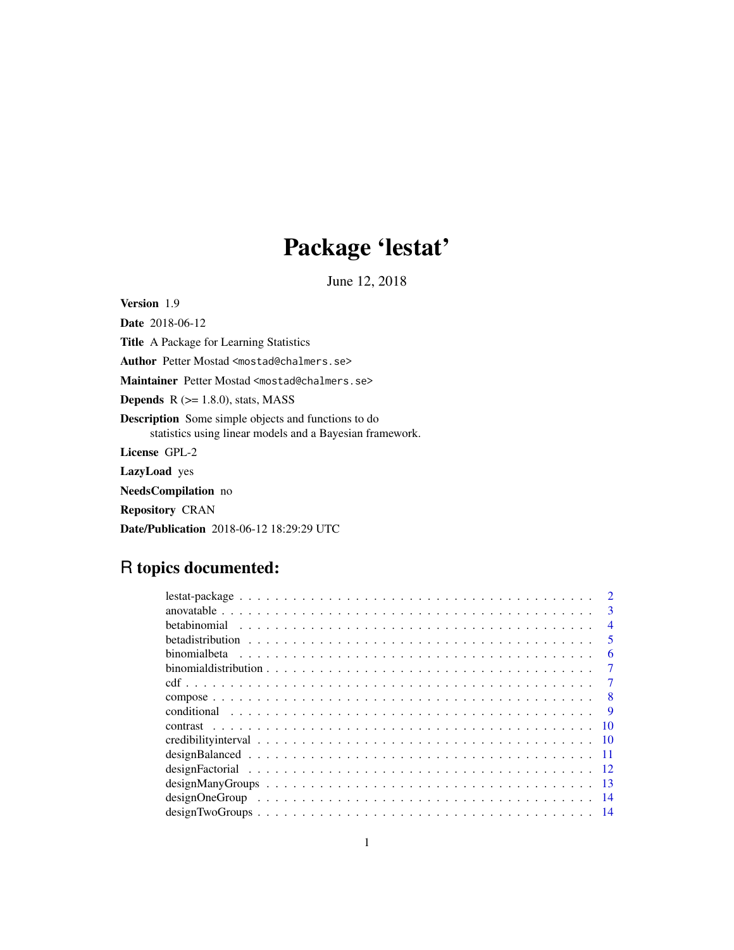# Package 'lestat'

June 12, 2018

<span id="page-0-0"></span>Version 1.9

Date 2018-06-12 Title A Package for Learning Statistics Author Petter Mostad <mostad@chalmers.se> Maintainer Petter Mostad <mostad@chalmers.se> **Depends**  $R$  ( $>= 1.8.0$ ), stats, MASS Description Some simple objects and functions to do statistics using linear models and a Bayesian framework. License GPL-2 LazyLoad yes NeedsCompilation no Repository CRAN

Date/Publication 2018-06-12 18:29:29 UTC

## R topics documented:

|                                                                                                                              | $\mathcal{D}$            |
|------------------------------------------------------------------------------------------------------------------------------|--------------------------|
|                                                                                                                              | $\mathbf{3}$             |
|                                                                                                                              | $\overline{\mathcal{A}}$ |
|                                                                                                                              | $\overline{\mathbf{5}}$  |
|                                                                                                                              | 6                        |
|                                                                                                                              |                          |
|                                                                                                                              | 7                        |
|                                                                                                                              |                          |
|                                                                                                                              |                          |
|                                                                                                                              |                          |
|                                                                                                                              |                          |
|                                                                                                                              |                          |
|                                                                                                                              |                          |
|                                                                                                                              | - 13                     |
| $designOneGroup \dots \dots \dots \dots \dots \dots \dots \dots \dots \dots \dots \dots \dots \dots \dots \dots \dots \dots$ |                          |
|                                                                                                                              |                          |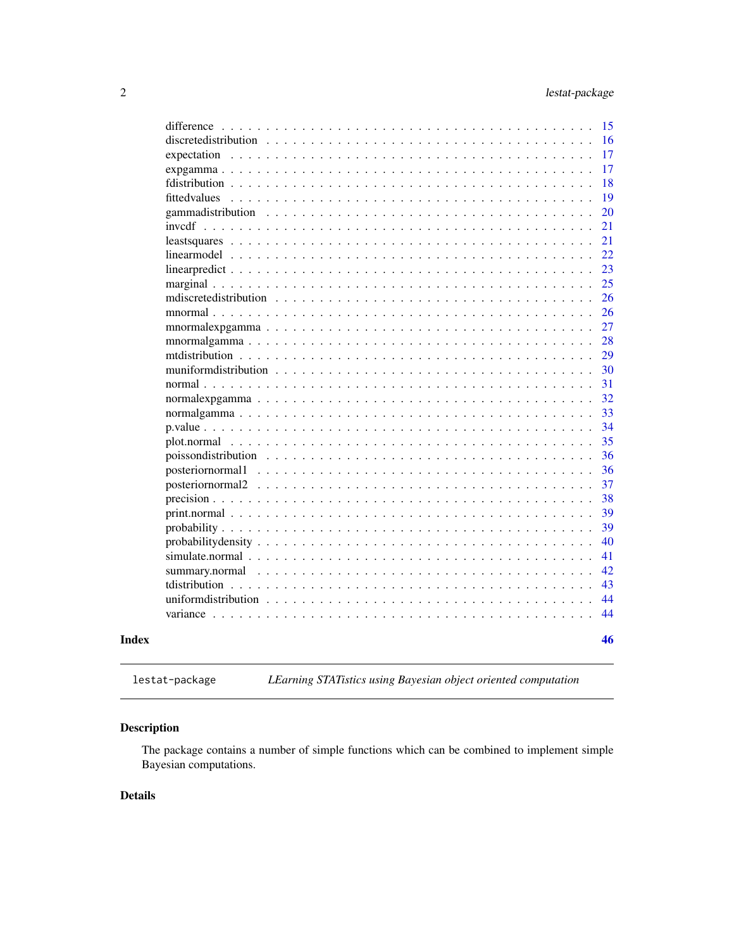<span id="page-1-0"></span>

|       | discretedistribution $\cdots$ , $\cdots$ , $\cdots$ , $\cdots$ , $\cdots$ , $\cdots$ , $\cdots$ , $\cdots$ , $\cdots$ , $\cdots$ , $\cdots$ , $\cdots$ , $\cdots$<br>expectation | 15<br>16<br>17 |
|-------|----------------------------------------------------------------------------------------------------------------------------------------------------------------------------------|----------------|
|       |                                                                                                                                                                                  | 17<br>18       |
|       | fittedvalues                                                                                                                                                                     | 19<br>20<br>21 |
|       |                                                                                                                                                                                  | 21<br>22       |
|       |                                                                                                                                                                                  | 23<br>25       |
|       |                                                                                                                                                                                  | 26<br>26       |
|       |                                                                                                                                                                                  | 27<br>28       |
|       |                                                                                                                                                                                  | 29<br>30<br>31 |
|       | normalexpgamma $\ldots \ldots \ldots \ldots \ldots \ldots \ldots \ldots \ldots \ldots \ldots \ldots \ldots$                                                                      | 32<br>33       |
|       |                                                                                                                                                                                  | 34<br>35       |
|       | poisson distribution $\ldots \ldots \ldots \ldots \ldots \ldots \ldots \ldots \ldots \ldots \ldots \ldots$<br>posteriornormal1                                                   | 36<br>36       |
|       | posteriornormal2                                                                                                                                                                 | 37<br>38       |
|       |                                                                                                                                                                                  | 39<br>39<br>40 |
|       |                                                                                                                                                                                  | 41<br>42       |
|       |                                                                                                                                                                                  | 43<br>44       |
|       |                                                                                                                                                                                  | 44             |
| Index |                                                                                                                                                                                  | 46             |

lestat-package *LEarning STATistics using Bayesian object oriented computation*

### Description

The package contains a number of simple functions which can be combined to implement simple Bayesian computations.

### Details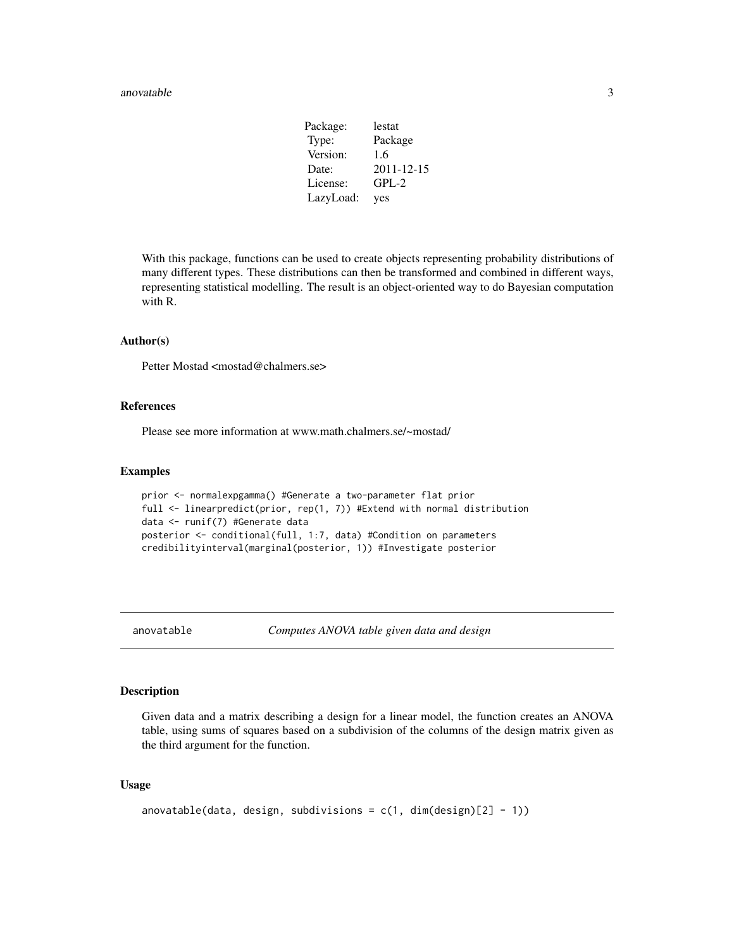#### <span id="page-2-0"></span> $a$ novatable  $3a$

| Package:  | lestat           |
|-----------|------------------|
| Type:     | Package          |
| Version:  | 1.6              |
| Date:     | $2011 - 12 - 15$ |
| License:  | $GPL-2$          |
| LazyLoad: | yes              |

With this package, functions can be used to create objects representing probability distributions of many different types. These distributions can then be transformed and combined in different ways, representing statistical modelling. The result is an object-oriented way to do Bayesian computation with R.

#### Author(s)

Petter Mostad <mostad@chalmers.se>

### References

Please see more information at www.math.chalmers.se/~mostad/

#### Examples

```
prior <- normalexpgamma() #Generate a two-parameter flat prior
full <- linearpredict(prior, rep(1, 7)) #Extend with normal distribution
data <- runif(7) #Generate data
posterior <- conditional(full, 1:7, data) #Condition on parameters
credibilityinterval(marginal(posterior, 1)) #Investigate posterior
```
anovatable *Computes ANOVA table given data and design*

### Description

Given data and a matrix describing a design for a linear model, the function creates an ANOVA table, using sums of squares based on a subdivision of the columns of the design matrix given as the third argument for the function.

```
anovatable(data, design, subdivisions = c(1, dim(design)[2] - 1))
```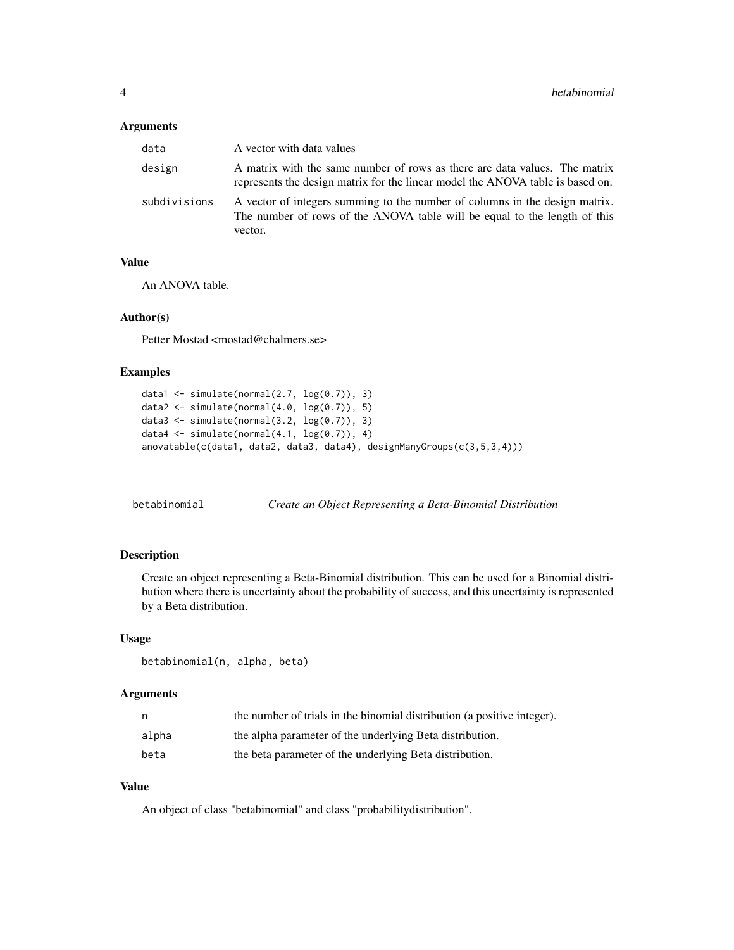#### <span id="page-3-0"></span>Arguments

| data         | A vector with data values                                                                                                                                           |
|--------------|---------------------------------------------------------------------------------------------------------------------------------------------------------------------|
| design       | A matrix with the same number of rows as there are data values. The matrix<br>represents the design matrix for the linear model the ANOVA table is based on.        |
| subdivisions | A vector of integers summing to the number of columns in the design matrix.<br>The number of rows of the ANOVA table will be equal to the length of this<br>vector. |

#### Value

An ANOVA table.

#### Author(s)

Petter Mostad <mostad@chalmers.se>

#### Examples

```
data1 <- simulate(normal(2.7, log(0.7)), 3)
data2 <- simulate(normal(4.0, log(0.7)), 5)
data3 <- simulate(normal(3.2, log(0.7)), 3)
data4 <- simulate(normal(4.1, \log(0.7)), 4)
anovatable(c(data1, data2, data3, data4), designManyGroups(c(3,5,3,4)))
```
<span id="page-3-1"></span>betabinomial *Create an Object Representing a Beta-Binomial Distribution*

### Description

Create an object representing a Beta-Binomial distribution. This can be used for a Binomial distribution where there is uncertainty about the probability of success, and this uncertainty is represented by a Beta distribution.

#### Usage

betabinomial(n, alpha, beta)

### Arguments

| n.    | the number of trials in the binomial distribution (a positive integer). |
|-------|-------------------------------------------------------------------------|
| alpha | the alpha parameter of the underlying Beta distribution.                |
| beta  | the beta parameter of the underlying Beta distribution.                 |

### Value

An object of class "betabinomial" and class "probabilitydistribution".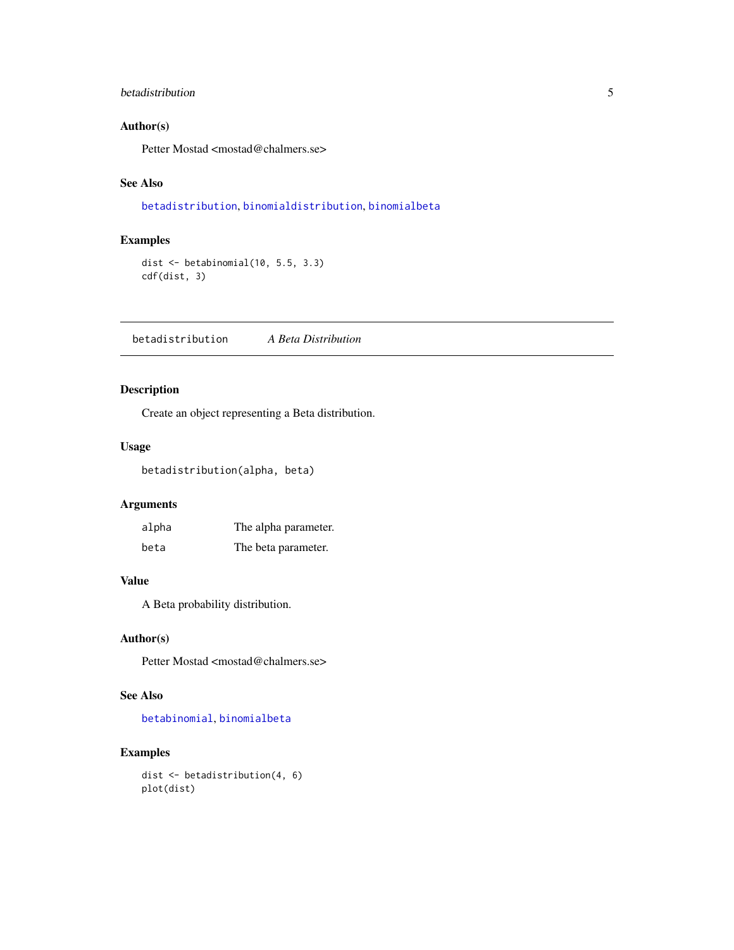### <span id="page-4-0"></span>betadistribution 5

### Author(s)

Petter Mostad <mostad@chalmers.se>

### See Also

[betadistribution](#page-4-1), [binomialdistribution](#page-6-1), [binomialbeta](#page-5-1)

### Examples

```
dist <- betabinomial(10, 5.5, 3.3)
cdf(dist, 3)
```
<span id="page-4-1"></span>betadistribution *A Beta Distribution*

### Description

Create an object representing a Beta distribution.

#### Usage

betadistribution(alpha, beta)

### Arguments

| alpha | The alpha parameter. |
|-------|----------------------|
| beta  | The beta parameter.  |

### Value

A Beta probability distribution.

#### Author(s)

Petter Mostad <mostad@chalmers.se>

### See Also

[betabinomial](#page-3-1), [binomialbeta](#page-5-1)

### Examples

dist <- betadistribution(4, 6) plot(dist)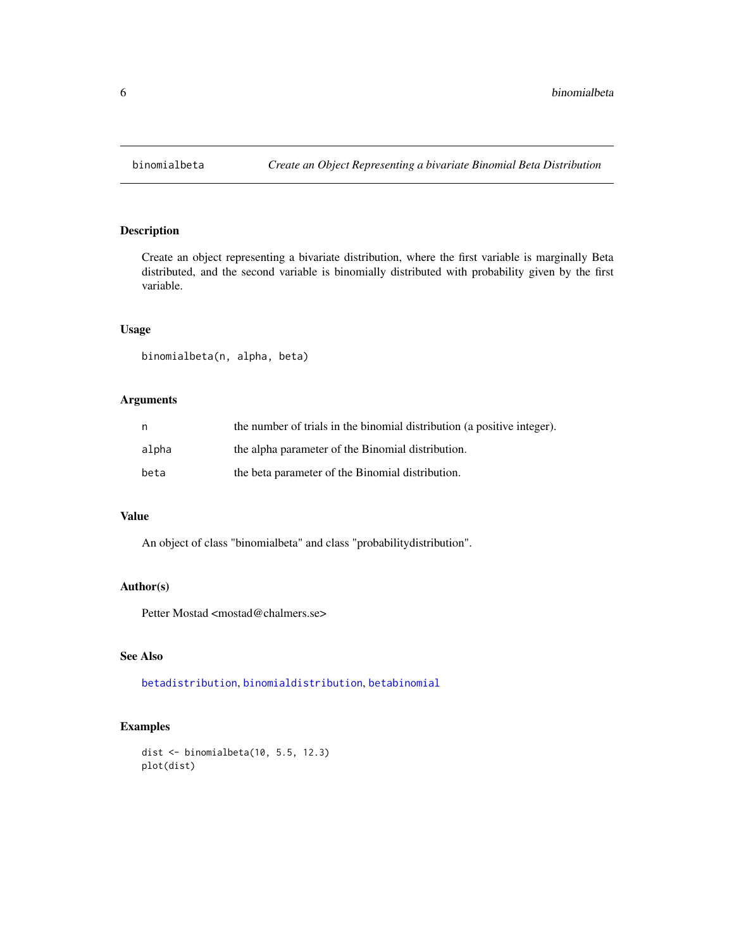<span id="page-5-1"></span><span id="page-5-0"></span>

Create an object representing a bivariate distribution, where the first variable is marginally Beta distributed, and the second variable is binomially distributed with probability given by the first variable.

### Usage

binomialbeta(n, alpha, beta)

### Arguments

| n.    | the number of trials in the binomial distribution (a positive integer). |
|-------|-------------------------------------------------------------------------|
| alpha | the alpha parameter of the Binomial distribution.                       |
| beta  | the beta parameter of the Binomial distribution.                        |

#### Value

An object of class "binomialbeta" and class "probabilitydistribution".

### Author(s)

Petter Mostad <mostad@chalmers.se>

#### See Also

[betadistribution](#page-4-1), [binomialdistribution](#page-6-1), [betabinomial](#page-3-1)

```
dist <- binomialbeta(10, 5.5, 12.3)
plot(dist)
```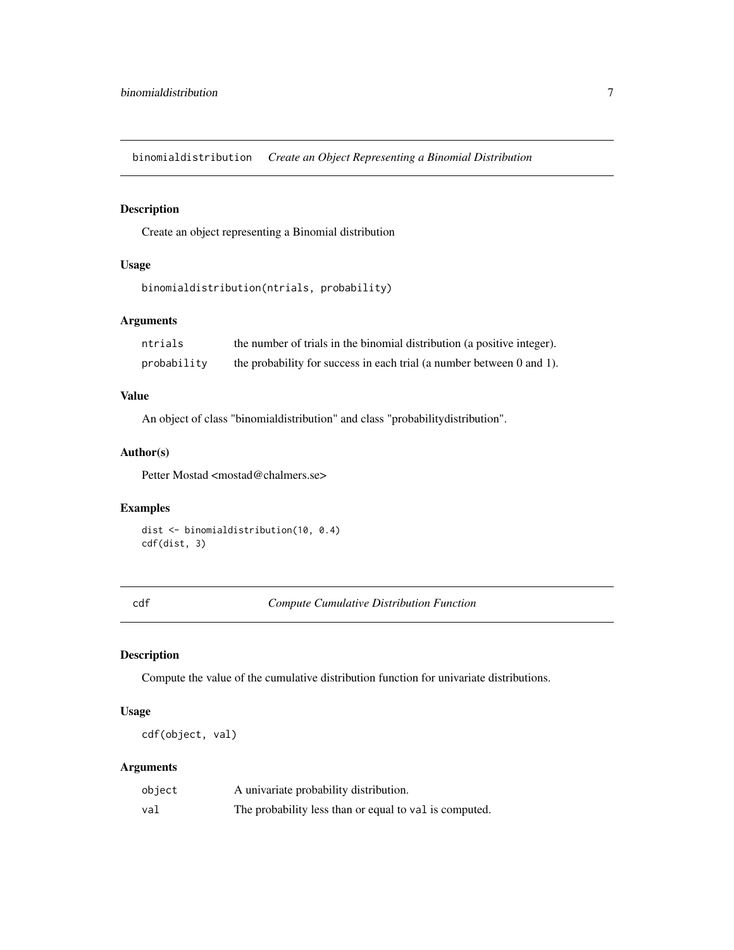<span id="page-6-1"></span><span id="page-6-0"></span>binomialdistribution *Create an Object Representing a Binomial Distribution*

### Description

Create an object representing a Binomial distribution

### Usage

```
binomialdistribution(ntrials, probability)
```
### Arguments

| ntrials     | the number of trials in the binomial distribution (a positive integer). |
|-------------|-------------------------------------------------------------------------|
| probability | the probability for success in each trial (a number between 0 and 1).   |

### Value

An object of class "binomialdistribution" and class "probabilitydistribution".

#### Author(s)

Petter Mostad <mostad@chalmers.se>

### Examples

```
dist <- binomialdistribution(10, 0.4)
cdf(dist, 3)
```
<span id="page-6-2"></span>cdf *Compute Cumulative Distribution Function*

### Description

Compute the value of the cumulative distribution function for univariate distributions.

### Usage

cdf(object, val)

#### Arguments

| object | A univariate probability distribution.                 |
|--------|--------------------------------------------------------|
| val    | The probability less than or equal to val is computed. |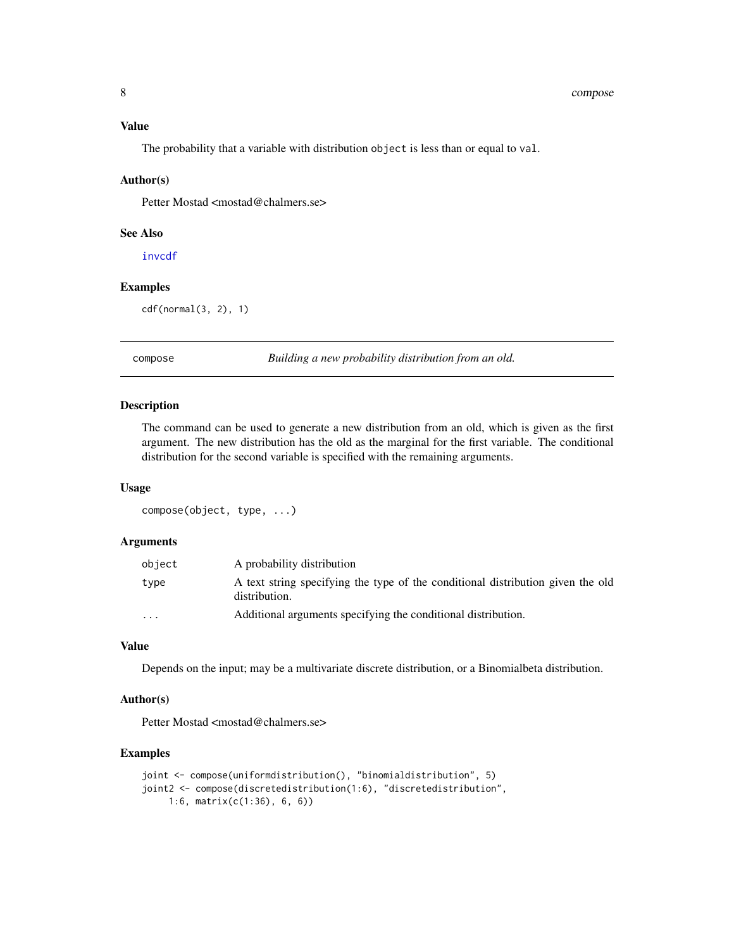### <span id="page-7-0"></span>Value

The probability that a variable with distribution object is less than or equal to val.

#### Author(s)

Petter Mostad <mostad@chalmers.se>

### See Also

[invcdf](#page-20-1)

### Examples

cdf(normal(3, 2), 1)

compose *Building a new probability distribution from an old.*

#### Description

The command can be used to generate a new distribution from an old, which is given as the first argument. The new distribution has the old as the marginal for the first variable. The conditional distribution for the second variable is specified with the remaining arguments.

#### Usage

compose(object, type, ...)

### Arguments

| object | A probability distribution                                                                       |
|--------|--------------------------------------------------------------------------------------------------|
| type   | A text string specifying the type of the conditional distribution given the old<br>distribution. |
| .      | Additional arguments specifying the conditional distribution.                                    |

### Value

Depends on the input; may be a multivariate discrete distribution, or a Binomialbeta distribution.

#### Author(s)

Petter Mostad <mostad@chalmers.se>

```
joint <- compose(uniformdistribution(), "binomialdistribution", 5)
joint2 <- compose(discretedistribution(1:6), "discretedistribution",
     1:6, matrix(c(1:36), 6, 6))
```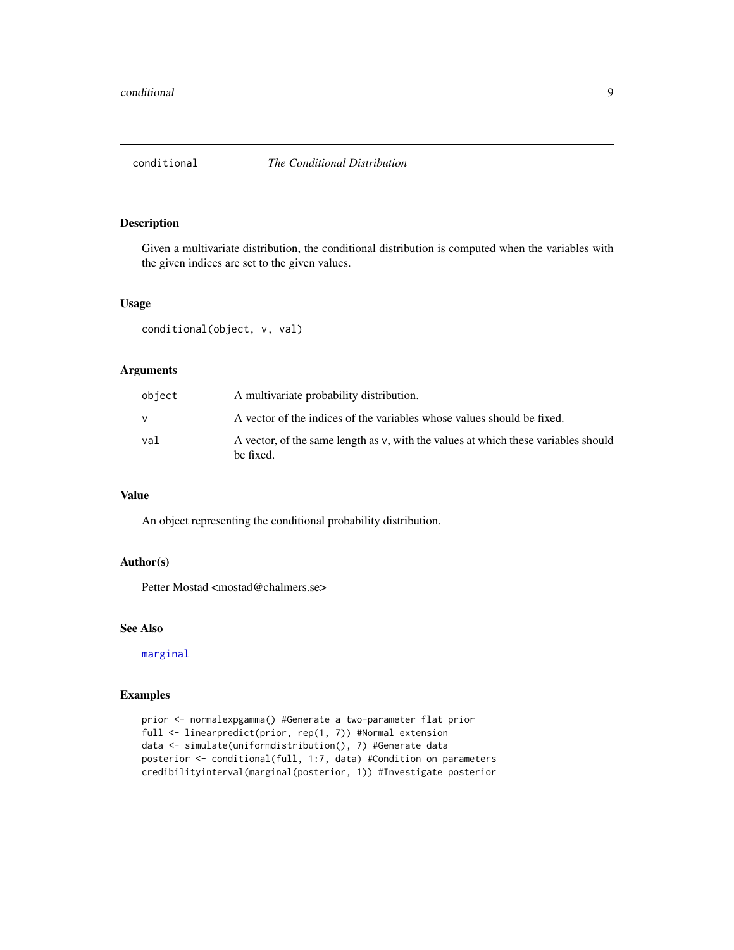<span id="page-8-1"></span><span id="page-8-0"></span>

Given a multivariate distribution, the conditional distribution is computed when the variables with the given indices are set to the given values.

#### Usage

```
conditional(object, v, val)
```
### Arguments

| object | A multivariate probability distribution.                                                        |
|--------|-------------------------------------------------------------------------------------------------|
| v      | A vector of the indices of the variables whose values should be fixed.                          |
| val    | A vector, of the same length as v, with the values at which these variables should<br>be fixed. |

### Value

An object representing the conditional probability distribution.

#### Author(s)

Petter Mostad <mostad@chalmers.se>

### See Also

[marginal](#page-24-1)

```
prior <- normalexpgamma() #Generate a two-parameter flat prior
full <- linearpredict(prior, rep(1, 7)) #Normal extension
data <- simulate(uniformdistribution(), 7) #Generate data
posterior <- conditional(full, 1:7, data) #Condition on parameters
credibilityinterval(marginal(posterior, 1)) #Investigate posterior
```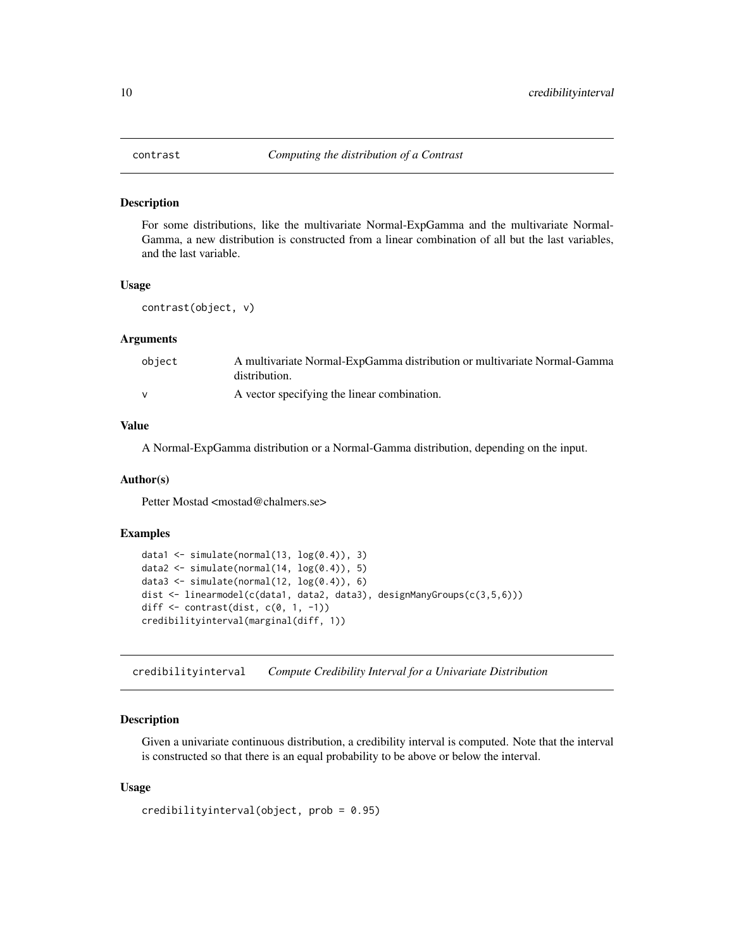<span id="page-9-1"></span><span id="page-9-0"></span>

For some distributions, like the multivariate Normal-ExpGamma and the multivariate Normal-Gamma, a new distribution is constructed from a linear combination of all but the last variables, and the last variable.

#### Usage

contrast(object, v)

#### Arguments

| object | A multivariate Normal-ExpGamma distribution or multivariate Normal-Gamma<br>distribution. |
|--------|-------------------------------------------------------------------------------------------|
| v      | A vector specifying the linear combination.                                               |

### Value

A Normal-ExpGamma distribution or a Normal-Gamma distribution, depending on the input.

#### Author(s)

Petter Mostad <mostad@chalmers.se>

### Examples

```
data1 <- simulate(normal(13, log(0.4)), 3)
data2 <- simulate(normal(14, log(0.4)), 5)
data3 <- simulate(normal(12, log(0.4)), 6)
dist <- linearmodel(c(data1, data2, data3), designManyGroups(c(3,5,6)))
diff <- contrast(dist, c(0, 1, -1))
credibilityinterval(marginal(diff, 1))
```
<span id="page-9-2"></span>credibilityinterval *Compute Credibility Interval for a Univariate Distribution*

### Description

Given a univariate continuous distribution, a credibility interval is computed. Note that the interval is constructed so that there is an equal probability to be above or below the interval.

```
credibilityinterval(object, prob = 0.95)
```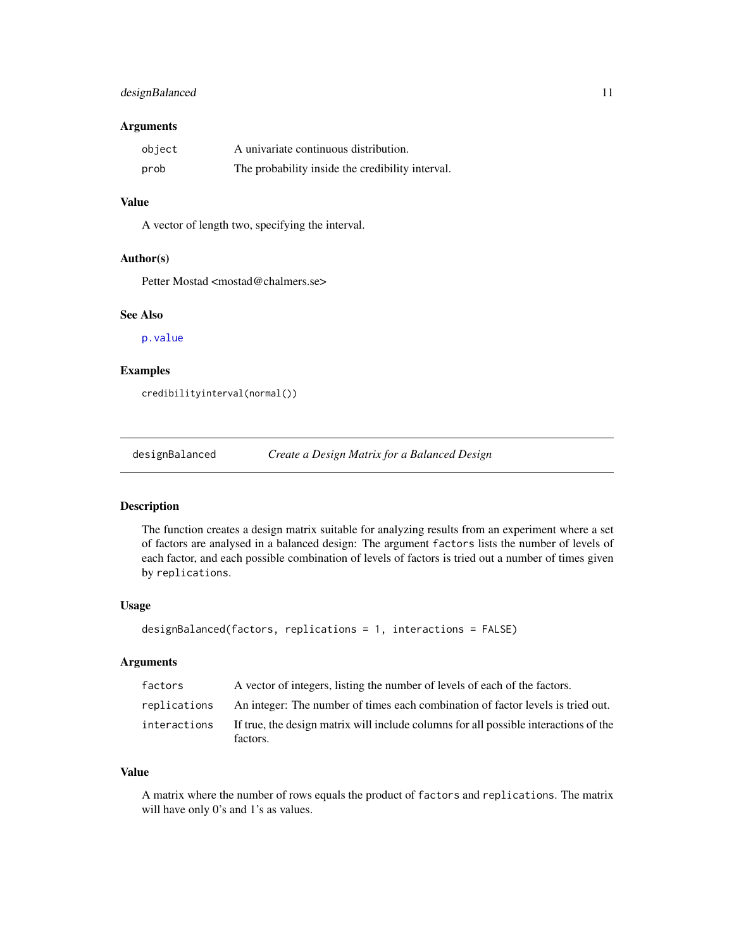### <span id="page-10-0"></span>designBalanced 11

#### Arguments

| object | A univariate continuous distribution.            |
|--------|--------------------------------------------------|
| prob   | The probability inside the credibility interval. |

### Value

A vector of length two, specifying the interval.

#### Author(s)

Petter Mostad <mostad@chalmers.se>

### See Also

[p.value](#page-33-1)

### Examples

credibilityinterval(normal())

<span id="page-10-1"></span>designBalanced *Create a Design Matrix for a Balanced Design*

#### Description

The function creates a design matrix suitable for analyzing results from an experiment where a set of factors are analysed in a balanced design: The argument factors lists the number of levels of each factor, and each possible combination of levels of factors is tried out a number of times given by replications.

#### Usage

```
designBalanced(factors, replications = 1, interactions = FALSE)
```
### Arguments

| factors      | A vector of integers, listing the number of levels of each of the factors.                       |
|--------------|--------------------------------------------------------------------------------------------------|
| replications | An integer: The number of times each combination of factor levels is tried out.                  |
| interactions | If true, the design matrix will include columns for all possible interactions of the<br>factors. |

#### Value

A matrix where the number of rows equals the product of factors and replications. The matrix will have only 0's and 1's as values.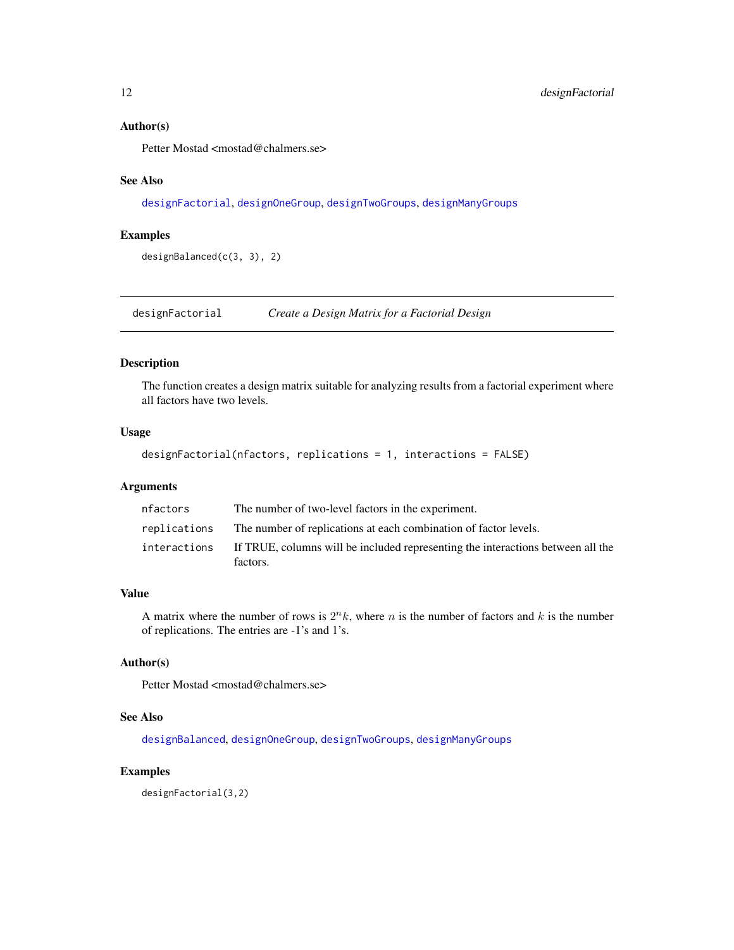### <span id="page-11-0"></span>Author(s)

Petter Mostad <mostad@chalmers.se>

#### See Also

[designFactorial](#page-11-1), [designOneGroup](#page-13-1), [designTwoGroups](#page-13-2), [designManyGroups](#page-12-1)

#### Examples

designBalanced(c(3, 3), 2)

<span id="page-11-1"></span>designFactorial *Create a Design Matrix for a Factorial Design*

### Description

The function creates a design matrix suitable for analyzing results from a factorial experiment where all factors have two levels.

#### Usage

designFactorial(nfactors, replications = 1, interactions = FALSE)

#### Arguments

| nfactors     | The number of two-level factors in the experiment.                                          |
|--------------|---------------------------------------------------------------------------------------------|
| replications | The number of replications at each combination of factor levels.                            |
| interactions | If TRUE, columns will be included representing the interactions between all the<br>factors. |

### Value

A matrix where the number of rows is  $2^n k$ , where n is the number of factors and k is the number of replications. The entries are -1's and 1's.

### Author(s)

Petter Mostad <mostad@chalmers.se>

### See Also

[designBalanced](#page-10-1), [designOneGroup](#page-13-1), [designTwoGroups](#page-13-2), [designManyGroups](#page-12-1)

### Examples

designFactorial(3,2)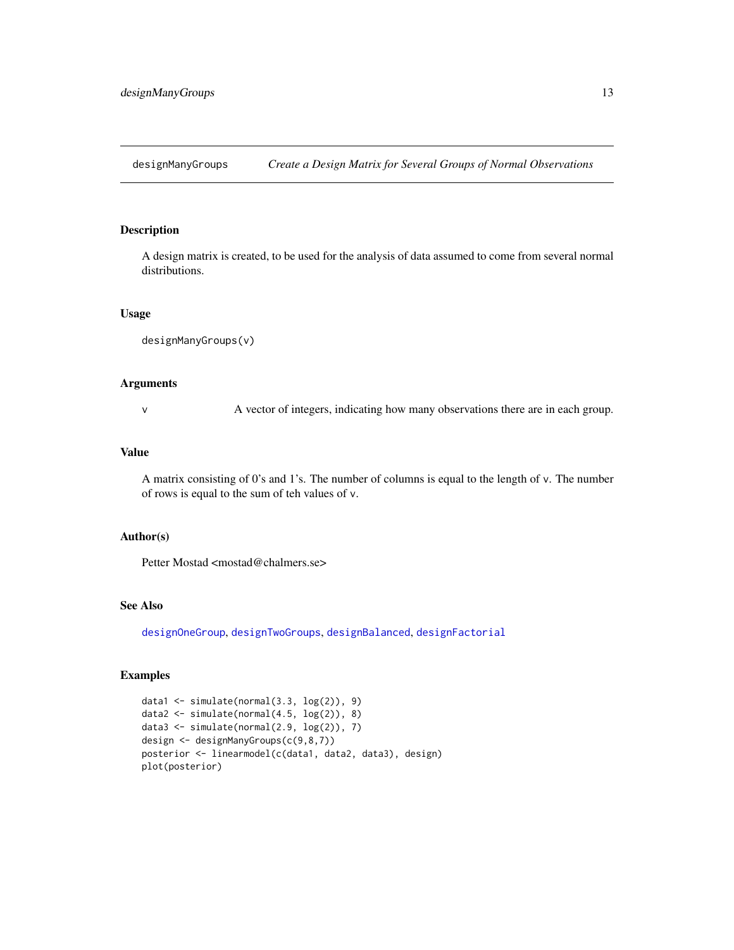<span id="page-12-1"></span><span id="page-12-0"></span>designManyGroups *Create a Design Matrix for Several Groups of Normal Observations*

### Description

A design matrix is created, to be used for the analysis of data assumed to come from several normal distributions.

#### Usage

```
designManyGroups(v)
```
#### Arguments

v A vector of integers, indicating how many observations there are in each group.

#### Value

A matrix consisting of 0's and 1's. The number of columns is equal to the length of v. The number of rows is equal to the sum of teh values of v.

#### Author(s)

Petter Mostad <mostad@chalmers.se>

#### See Also

[designOneGroup](#page-13-1), [designTwoGroups](#page-13-2), [designBalanced](#page-10-1), [designFactorial](#page-11-1)

```
data1 <- simulate(normal(3.3, \log(2)), 9)
data2 <- simulate(normal(4.5, log(2)), 8)
data3 <- simulate(normal(2.9, \log(2)), 7)
design <- designManyGroups(c(9,8,7))
posterior <- linearmodel(c(data1, data2, data3), design)
plot(posterior)
```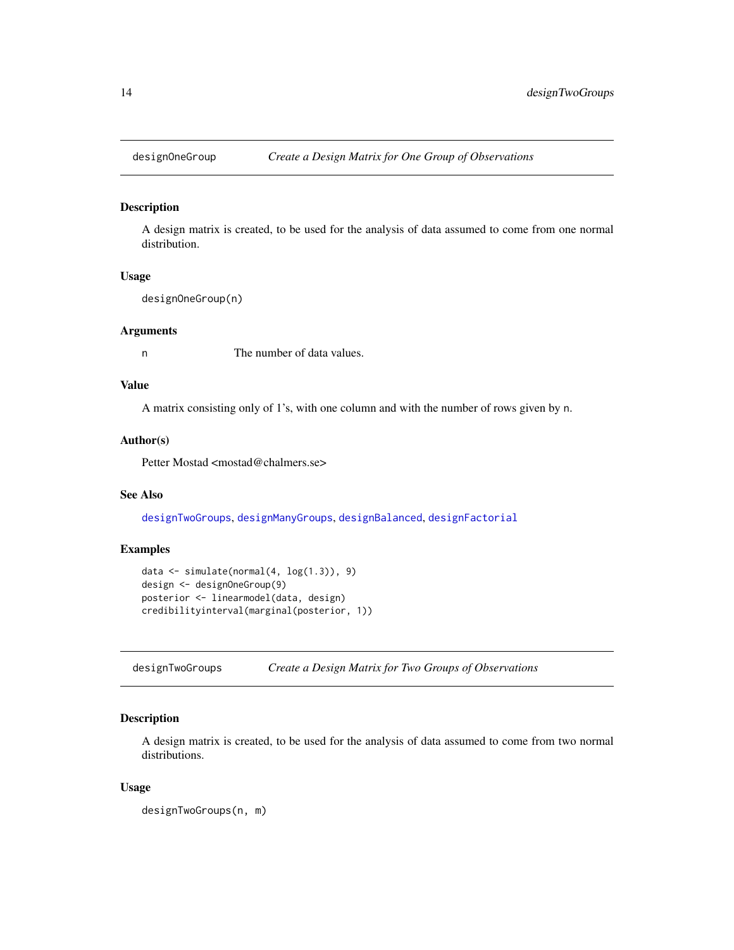<span id="page-13-1"></span><span id="page-13-0"></span>

A design matrix is created, to be used for the analysis of data assumed to come from one normal distribution.

### Usage

designOneGroup(n)

#### Arguments

n The number of data values.

#### Value

A matrix consisting only of 1's, with one column and with the number of rows given by n.

#### Author(s)

Petter Mostad <mostad@chalmers.se>

### See Also

[designTwoGroups](#page-13-2), [designManyGroups](#page-12-1), [designBalanced](#page-10-1), [designFactorial](#page-11-1)

### Examples

```
data <- simulate(normal(4, log(1.3)), 9)
design <- designOneGroup(9)
posterior <- linearmodel(data, design)
credibilityinterval(marginal(posterior, 1))
```
<span id="page-13-2"></span>designTwoGroups *Create a Design Matrix for Two Groups of Observations*

### Description

A design matrix is created, to be used for the analysis of data assumed to come from two normal distributions.

#### Usage

designTwoGroups(n, m)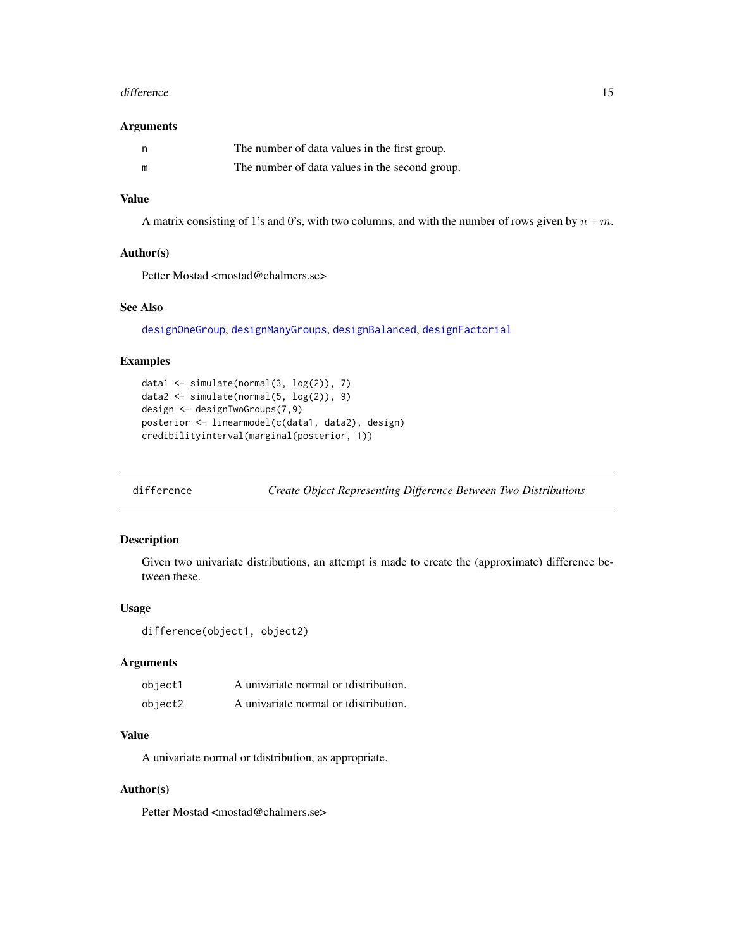#### <span id="page-14-0"></span>difference and the state of the state of the state of the state of the state of the state of the state of the state of the state of the state of the state of the state of the state of the state of the state of the state of

#### Arguments

|   | The number of data values in the first group.  |
|---|------------------------------------------------|
| m | The number of data values in the second group. |

### Value

A matrix consisting of 1's and 0's, with two columns, and with the number of rows given by  $n+m$ .

#### Author(s)

Petter Mostad <mostad@chalmers.se>

#### See Also

[designOneGroup](#page-13-1), [designManyGroups](#page-12-1), [designBalanced](#page-10-1), [designFactorial](#page-11-1)

#### Examples

```
data1 <- simulate(normal(3, log(2)), 7)
data2 <- simulate(normal(5, log(2)), 9)
design <- designTwoGroups(7,9)
posterior <- linearmodel(c(data1, data2), design)
credibilityinterval(marginal(posterior, 1))
```
difference *Create Object Representing Difference Between Two Distributions*

### Description

Given two univariate distributions, an attempt is made to create the (approximate) difference between these.

### Usage

```
difference(object1, object2)
```
### Arguments

| object1 | A univariate normal or tdistribution. |
|---------|---------------------------------------|
| object2 | A univariate normal or tdistribution. |

### Value

A univariate normal or tdistribution, as appropriate.

#### Author(s)

Petter Mostad <mostad@chalmers.se>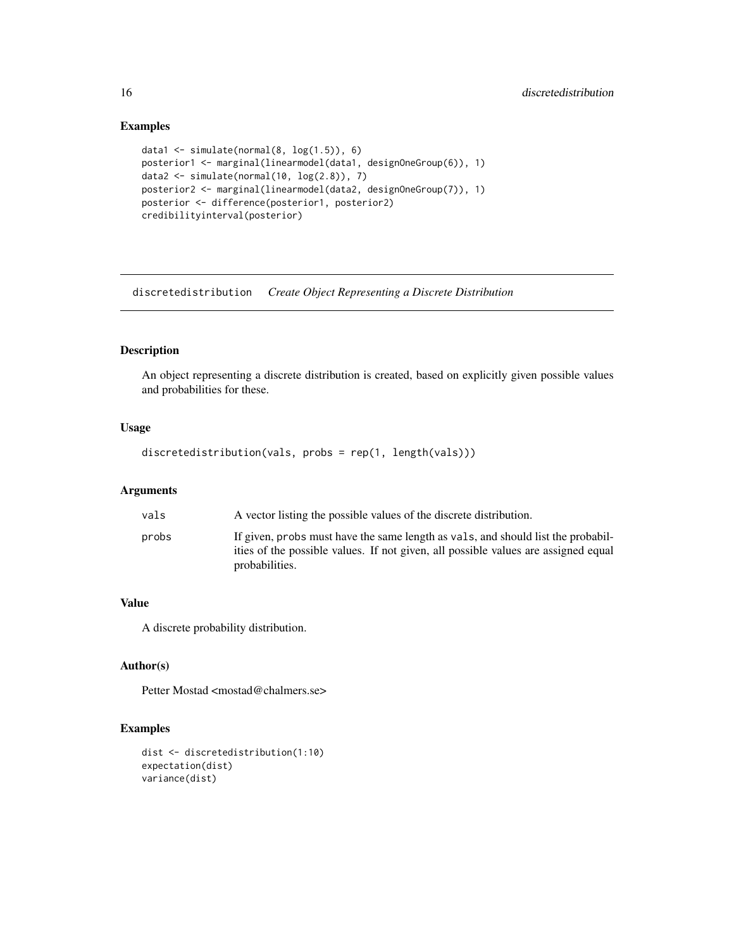#### Examples

```
data1 <- simulate(normal(8, log(1.5)), 6)
posterior1 <- marginal(linearmodel(data1, designOneGroup(6)), 1)
data2 <- simulate(normal(10, log(2.8)), 7)
posterior2 <- marginal(linearmodel(data2, designOneGroup(7)), 1)
posterior <- difference(posterior1, posterior2)
credibilityinterval(posterior)
```
discretedistribution *Create Object Representing a Discrete Distribution*

### Description

An object representing a discrete distribution is created, based on explicitly given possible values and probabilities for these.

### Usage

discretedistribution(vals, probs = rep(1, length(vals)))

### Arguments

| vals  | A vector listing the possible values of the discrete distribution.                                                                                                                       |
|-------|------------------------------------------------------------------------------------------------------------------------------------------------------------------------------------------|
| probs | If given, probs must have the same length as vals, and should list the probabil-<br>ities of the possible values. If not given, all possible values are assigned equal<br>probabilities. |

### Value

A discrete probability distribution.

### Author(s)

Petter Mostad <mostad@chalmers.se>

```
dist <- discretedistribution(1:10)
expectation(dist)
variance(dist)
```
<span id="page-15-0"></span>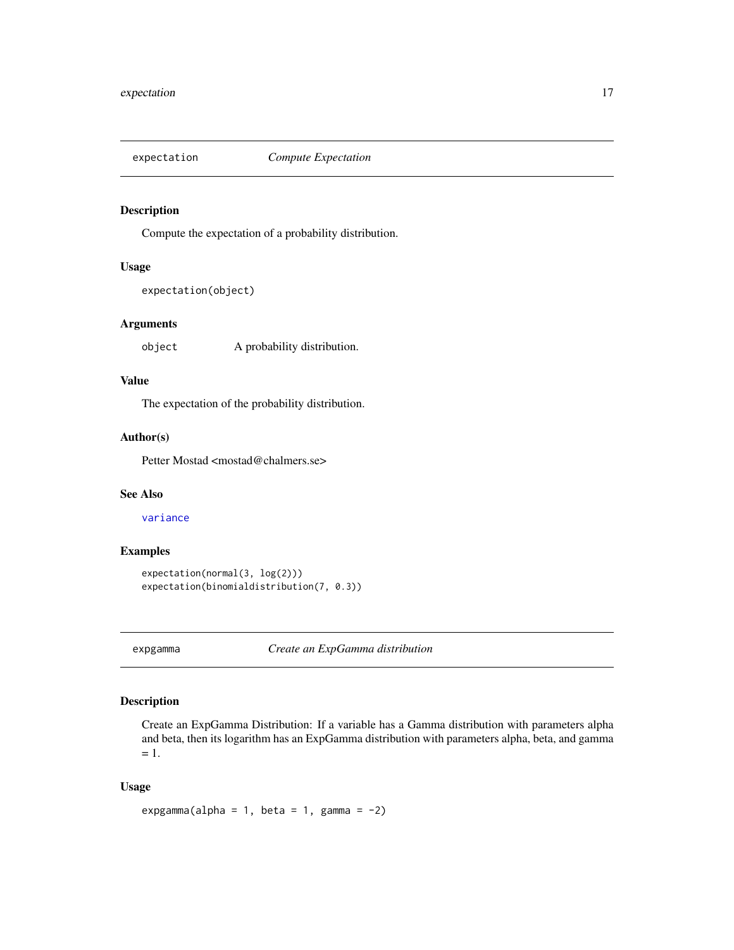<span id="page-16-2"></span><span id="page-16-0"></span>

Compute the expectation of a probability distribution.

### Usage

```
expectation(object)
```
### Arguments

object A probability distribution.

#### Value

The expectation of the probability distribution.

### Author(s)

Petter Mostad <mostad@chalmers.se>

### See Also

[variance](#page-43-1)

### Examples

```
expectation(normal(3, log(2)))
expectation(binomialdistribution(7, 0.3))
```
<span id="page-16-1"></span>expgamma *Create an ExpGamma distribution*

### Description

Create an ExpGamma Distribution: If a variable has a Gamma distribution with parameters alpha and beta, then its logarithm has an ExpGamma distribution with parameters alpha, beta, and gamma  $= 1.$ 

```
expgamma(alpha = 1, beta = 1, gamma = -2)
```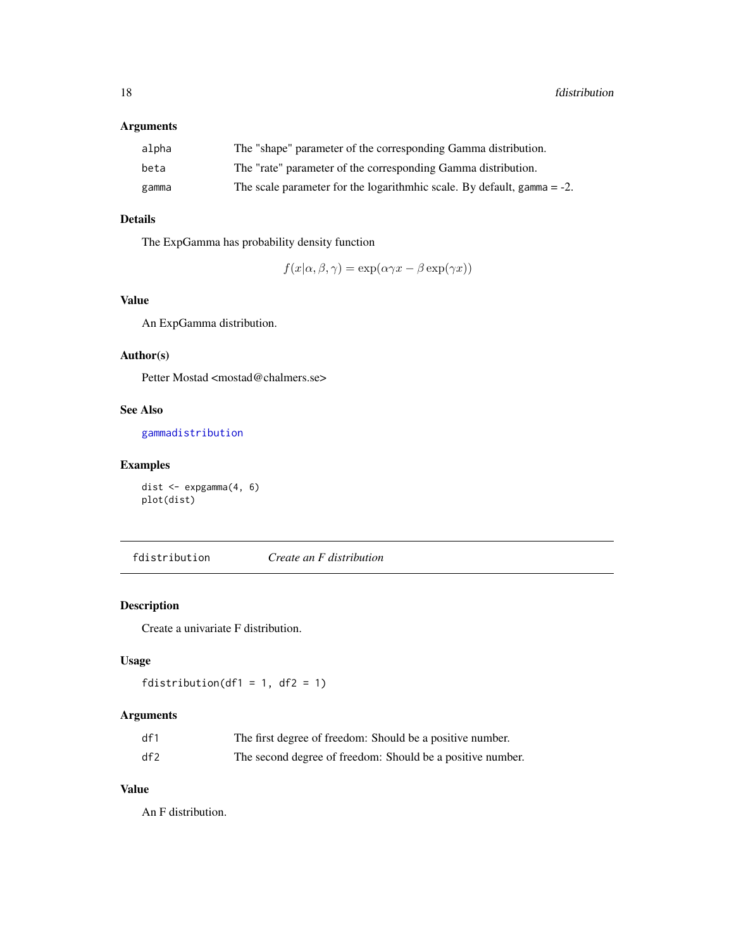### <span id="page-17-0"></span>Arguments

| alpha | The "shape" parameter of the corresponding Gamma distribution.             |
|-------|----------------------------------------------------------------------------|
| beta  | The "rate" parameter of the corresponding Gamma distribution.              |
| gamma | The scale parameter for the logarithm ic scale. By default, gamma $= -2$ . |

### Details

The ExpGamma has probability density function

 $f(x|\alpha, \beta, \gamma) = \exp(\alpha \gamma x - \beta \exp(\gamma x))$ 

### Value

An ExpGamma distribution.

### Author(s)

Petter Mostad <mostad@chalmers.se>

### See Also

[gammadistribution](#page-19-1)

### Examples

dist <- expgamma(4, 6) plot(dist)

fdistribution *Create an F distribution*

### Description

Create a univariate F distribution.

### Usage

fdistribution(df1 = 1, df2 = 1)

### Arguments

| df1 | The first degree of freedom: Should be a positive number.  |
|-----|------------------------------------------------------------|
| df2 | The second degree of freedom: Should be a positive number. |

### Value

An F distribution.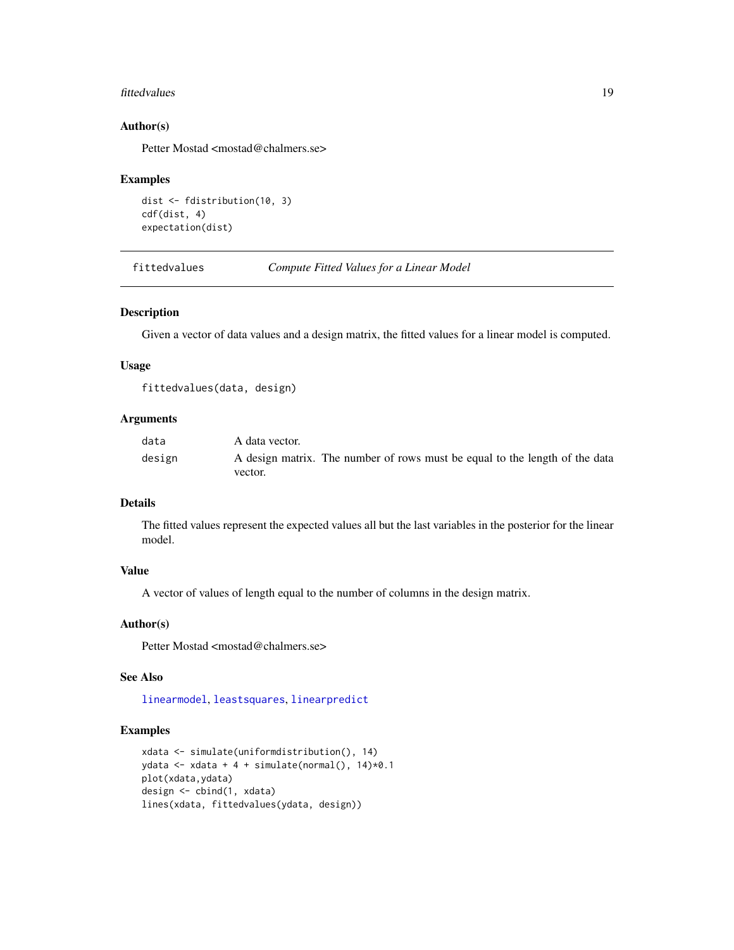#### <span id="page-18-0"></span>fittedvalues and the set of the set of the set of the set of the set of the set of the set of the set of the set of the set of the set of the set of the set of the set of the set of the set of the set of the set of the set

### Author(s)

Petter Mostad <mostad@chalmers.se>

#### Examples

```
dist <- fdistribution(10, 3)
cdf(dist, 4)
expectation(dist)
```
<span id="page-18-1"></span>fittedvalues *Compute Fitted Values for a Linear Model*

### Description

Given a vector of data values and a design matrix, the fitted values for a linear model is computed.

### Usage

```
fittedvalues(data, design)
```
### Arguments

| design | A design matrix. The number of rows must be equal to the length of the data |
|--------|-----------------------------------------------------------------------------|
|        | vector.                                                                     |

#### Details

The fitted values represent the expected values all but the last variables in the posterior for the linear model.

### Value

A vector of values of length equal to the number of columns in the design matrix.

#### Author(s)

Petter Mostad <mostad@chalmers.se>

#### See Also

[linearmodel](#page-21-1), [leastsquares](#page-20-2), [linearpredict](#page-22-1)

```
xdata <- simulate(uniformdistribution(), 14)
ydata <- xdata + 4 + simulate(normal(), 14)*0.1
plot(xdata,ydata)
design <- cbind(1, xdata)
lines(xdata, fittedvalues(ydata, design))
```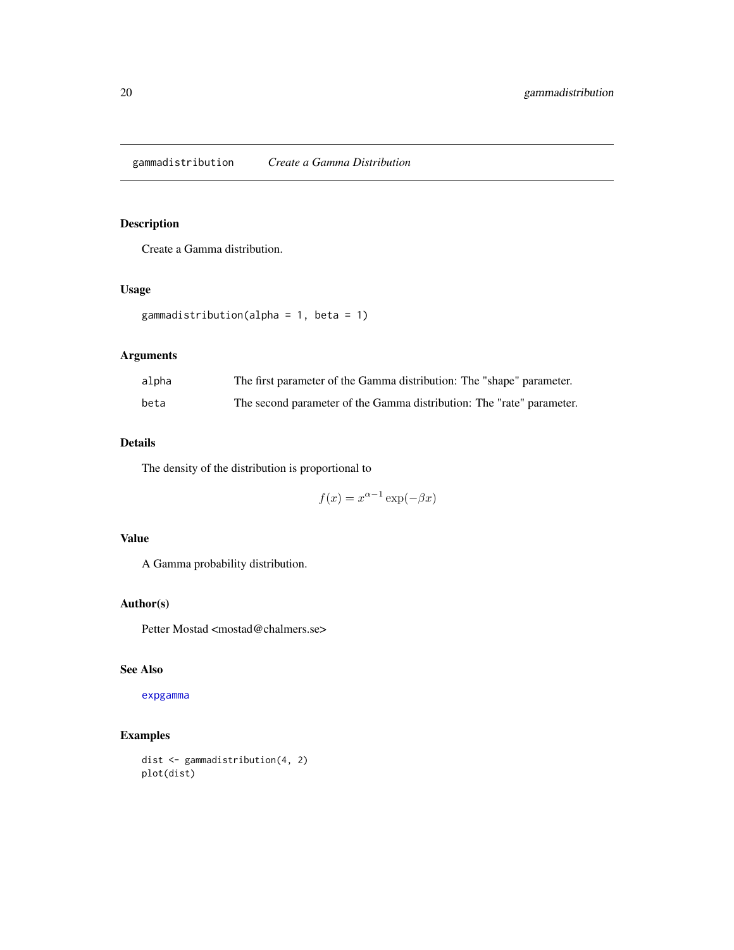<span id="page-19-1"></span><span id="page-19-0"></span>Create a Gamma distribution.

### Usage

```
gammadistribution(alpha = 1, beta = 1)
```
### Arguments

| alpha | The first parameter of the Gamma distribution: The "shape" parameter. |
|-------|-----------------------------------------------------------------------|
| beta  | The second parameter of the Gamma distribution: The "rate" parameter. |

### Details

The density of the distribution is proportional to

$$
f(x) = x^{\alpha - 1} \exp(-\beta x)
$$

### Value

A Gamma probability distribution.

### Author(s)

Petter Mostad <mostad@chalmers.se>

### See Also

### [expgamma](#page-16-1)

### Examples

dist <- gammadistribution(4, 2) plot(dist)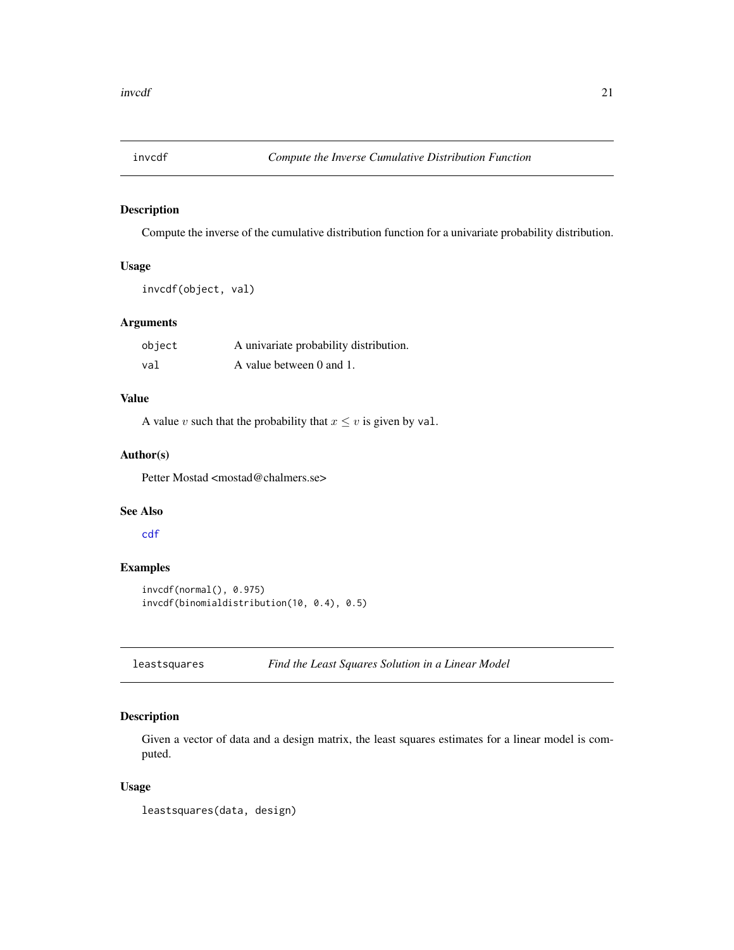<span id="page-20-1"></span><span id="page-20-0"></span>

Compute the inverse of the cumulative distribution function for a univariate probability distribution.

### Usage

invcdf(object, val)

### Arguments

| object | A univariate probability distribution. |
|--------|----------------------------------------|
| val    | A value between 0 and 1.               |

### Value

A value v such that the probability that  $x \le v$  is given by val.

### Author(s)

Petter Mostad <mostad@chalmers.se>

### See Also

[cdf](#page-6-2)

### Examples

```
invcdf(normal(), 0.975)
invcdf(binomialdistribution(10, 0.4), 0.5)
```

```
leastsquares Find the Least Squares Solution in a Linear Model
```
### Description

Given a vector of data and a design matrix, the least squares estimates for a linear model is computed.

### Usage

leastsquares(data, design)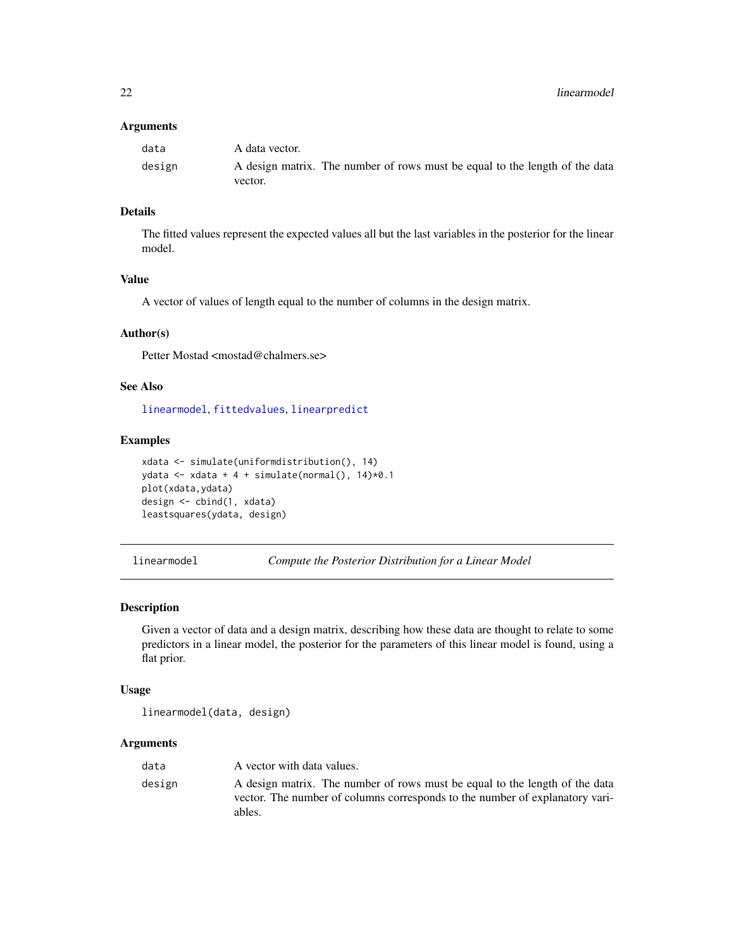#### <span id="page-21-0"></span>Arguments

| data   | A data vector.                                                              |
|--------|-----------------------------------------------------------------------------|
| design | A design matrix. The number of rows must be equal to the length of the data |
|        | vector.                                                                     |

### Details

The fitted values represent the expected values all but the last variables in the posterior for the linear model.

### Value

A vector of values of length equal to the number of columns in the design matrix.

### Author(s)

Petter Mostad <mostad@chalmers.se>

#### See Also

[linearmodel](#page-21-1), [fittedvalues](#page-18-1), [linearpredict](#page-22-1)

#### Examples

```
xdata <- simulate(uniformdistribution(), 14)
ydata <- xdata + 4 + simulate(normal(), 14)*0.1plot(xdata,ydata)
design <- cbind(1, xdata)
leastsquares(ydata, design)
```
<span id="page-21-1"></span>linearmodel *Compute the Posterior Distribution for a Linear Model*

### Description

Given a vector of data and a design matrix, describing how these data are thought to relate to some predictors in a linear model, the posterior for the parameters of this linear model is found, using a flat prior.

#### Usage

```
linearmodel(data, design)
```
#### Arguments

| data   | A vector with data values.                                                                                                                                            |  |
|--------|-----------------------------------------------------------------------------------------------------------------------------------------------------------------------|--|
| design | A design matrix. The number of rows must be equal to the length of the data<br>vector. The number of columns corresponds to the number of explanatory vari-<br>ables. |  |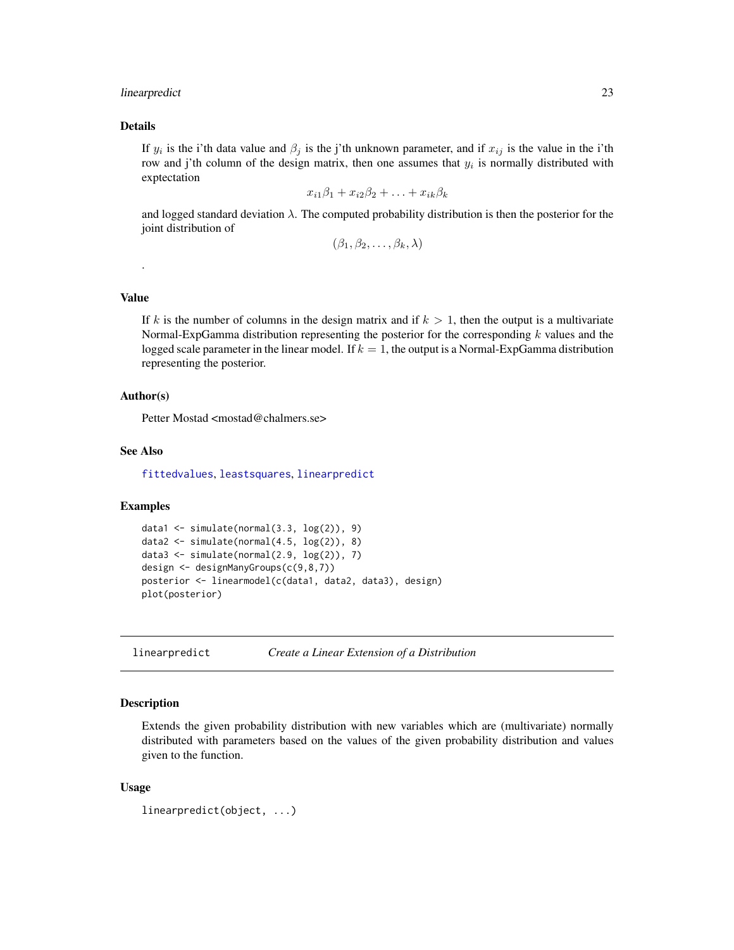#### <span id="page-22-0"></span>linearpredict 23

#### Details

If  $y_i$  is the i'th data value and  $\beta_j$  is the j'th unknown parameter, and if  $x_{ij}$  is the value in the i'th row and j'th column of the design matrix, then one assumes that  $y_i$  is normally distributed with exptectation

$$
x_{i1}\beta_1 + x_{i2}\beta_2 + \ldots + x_{ik}\beta_k
$$

and logged standard deviation  $\lambda$ . The computed probability distribution is then the posterior for the joint distribution of

$$
(\beta_1, \beta_2, \ldots, \beta_k, \lambda)
$$

#### Value

.

If k is the number of columns in the design matrix and if  $k > 1$ , then the output is a multivariate Normal-ExpGamma distribution representing the posterior for the corresponding  $k$  values and the logged scale parameter in the linear model. If  $k = 1$ , the output is a Normal-ExpGamma distribution representing the posterior.

#### Author(s)

Petter Mostad <mostad@chalmers.se>

#### See Also

[fittedvalues](#page-18-1), [leastsquares](#page-20-2), [linearpredict](#page-22-1)

#### Examples

```
data1 <- simulate(normal(3.3, \log(2)), 9)
data2 <- simulate(normal(4.5, log(2)), 8)
data3 <- simulate(normal(2.9, \log(2)), 7)
design <- designManyGroups(c(9,8,7))
posterior <- linearmodel(c(data1, data2, data3), design)
plot(posterior)
```
<span id="page-22-1"></span>linearpredict *Create a Linear Extension of a Distribution*

### **Description**

Extends the given probability distribution with new variables which are (multivariate) normally distributed with parameters based on the values of the given probability distribution and values given to the function.

```
linearpredict(object, ...)
```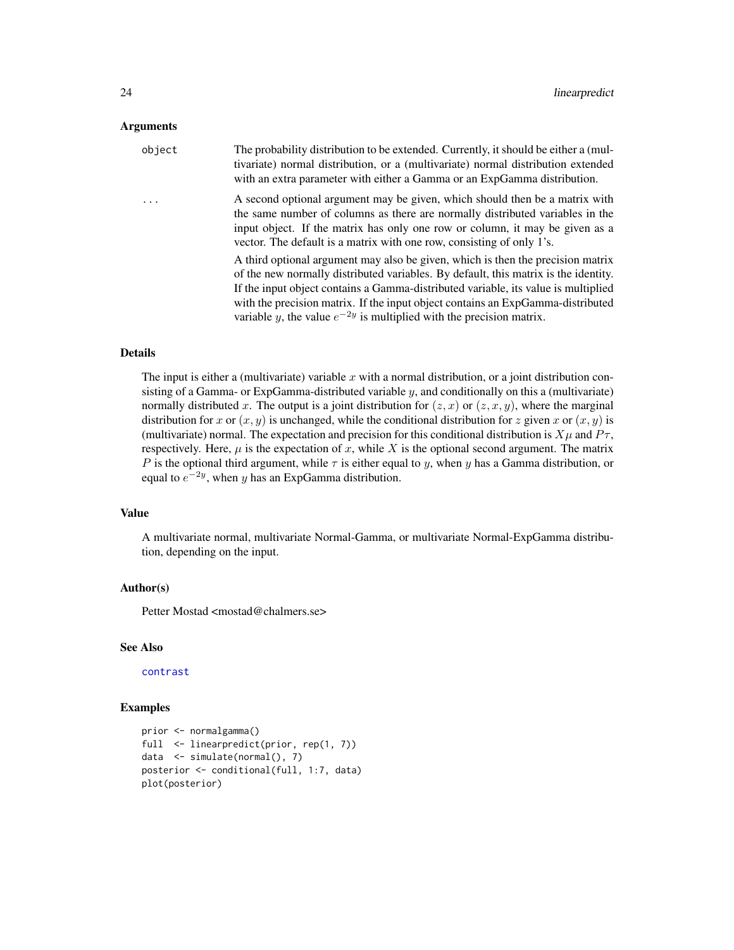#### <span id="page-23-0"></span>Arguments

| object | The probability distribution to be extended. Currently, it should be either a (mul-<br>tivariate) normal distribution, or a (multivariate) normal distribution extended<br>with an extra parameter with either a Gamma or an ExpGamma distribution.                                                                                                                                                                         |
|--------|-----------------------------------------------------------------------------------------------------------------------------------------------------------------------------------------------------------------------------------------------------------------------------------------------------------------------------------------------------------------------------------------------------------------------------|
|        | A second optional argument may be given, which should then be a matrix with<br>the same number of columns as there are normally distributed variables in the<br>input object. If the matrix has only one row or column, it may be given as a<br>vector. The default is a matrix with one row, consisting of only 1's.                                                                                                       |
|        | A third optional argument may also be given, which is then the precision matrix<br>of the new normally distributed variables. By default, this matrix is the identity.<br>If the input object contains a Gamma-distributed variable, its value is multiplied<br>with the precision matrix. If the input object contains an ExpGamma-distributed<br>variable y, the value $e^{-2y}$ is multiplied with the precision matrix. |

### Details

The input is either a (multivariate) variable  $x$  with a normal distribution, or a joint distribution consisting of a Gamma- or ExpGamma-distributed variable  $y$ , and conditionally on this a (multivariate) normally distributed x. The output is a joint distribution for  $(z, x)$  or  $(z, x, y)$ , where the marginal distribution for x or  $(x, y)$  is unchanged, while the conditional distribution for z given x or  $(x, y)$  is (multivariate) normal. The expectation and precision for this conditional distribution is  $X\mu$  and  $P\tau$ , respectively. Here,  $\mu$  is the expectation of x, while X is the optional second argument. The matrix P is the optional third argument, while  $\tau$  is either equal to y, when y has a Gamma distribution, or equal to  $e^{-2y}$ , when y has an ExpGamma distribution.

### Value

A multivariate normal, multivariate Normal-Gamma, or multivariate Normal-ExpGamma distribution, depending on the input.

#### Author(s)

Petter Mostad <mostad@chalmers.se>

### See Also

[contrast](#page-9-1)

```
prior <- normalgamma()
full <- linearpredict(prior, rep(1, 7))
data <- simulate(normal(), 7)
posterior <- conditional(full, 1:7, data)
plot(posterior)
```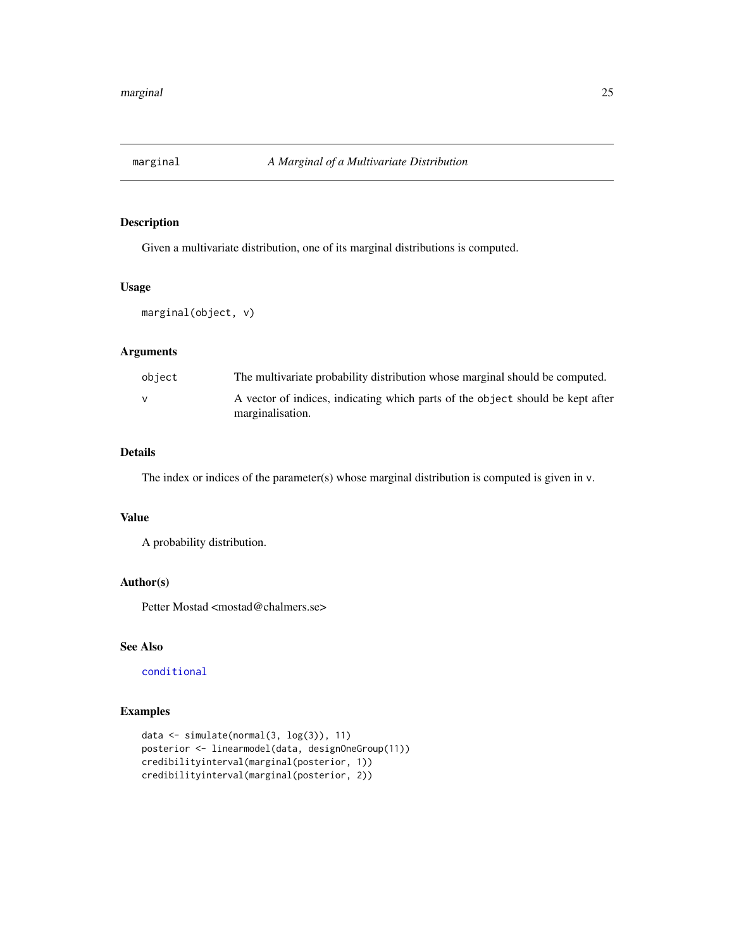<span id="page-24-1"></span><span id="page-24-0"></span>

Given a multivariate distribution, one of its marginal distributions is computed.

#### Usage

```
marginal(object, v)
```
### Arguments

| object       | The multivariate probability distribution whose marginal should be computed.                       |
|--------------|----------------------------------------------------------------------------------------------------|
| $\mathsf{V}$ | A vector of indices, indicating which parts of the object should be kept after<br>marginalisation. |

### Details

The index or indices of the parameter(s) whose marginal distribution is computed is given in v.

#### Value

A probability distribution.

### Author(s)

Petter Mostad <mostad@chalmers.se>

### See Also

[conditional](#page-8-1)

```
data <- simulate(normal(3, log(3)), 11)
posterior <- linearmodel(data, designOneGroup(11))
credibilityinterval(marginal(posterior, 1))
credibilityinterval(marginal(posterior, 2))
```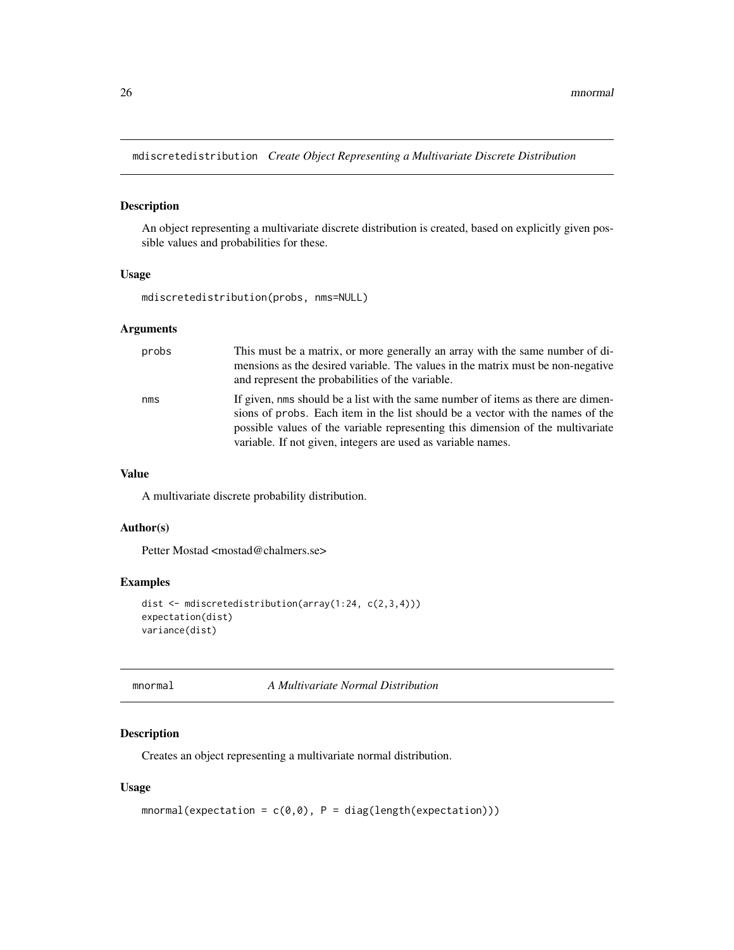<span id="page-25-0"></span>mdiscretedistribution *Create Object Representing a Multivariate Discrete Distribution*

#### Description

An object representing a multivariate discrete distribution is created, based on explicitly given possible values and probabilities for these.

#### Usage

mdiscretedistribution(probs, nms=NULL)

#### Arguments

| probs | This must be a matrix, or more generally an array with the same number of di-<br>mensions as the desired variable. The values in the matrix must be non-negative<br>and represent the probabilities of the variable.                                                                                                  |
|-------|-----------------------------------------------------------------------------------------------------------------------------------------------------------------------------------------------------------------------------------------------------------------------------------------------------------------------|
| nms   | If given, nms should be a list with the same number of items as there are dimen-<br>sions of probs. Each item in the list should be a vector with the names of the<br>possible values of the variable representing this dimension of the multivariate<br>variable. If not given, integers are used as variable names. |

#### Value

A multivariate discrete probability distribution.

### Author(s)

Petter Mostad <mostad@chalmers.se>

### Examples

```
dist <- mdiscretedistribution(array(1:24, c(2,3,4)))
expectation(dist)
variance(dist)
```
<span id="page-25-1"></span>mnormal *A Multivariate Normal Distribution*

### Description

Creates an object representing a multivariate normal distribution.

```
mnormal(expectation = c(0,0), P = diag(length(expectation)))
```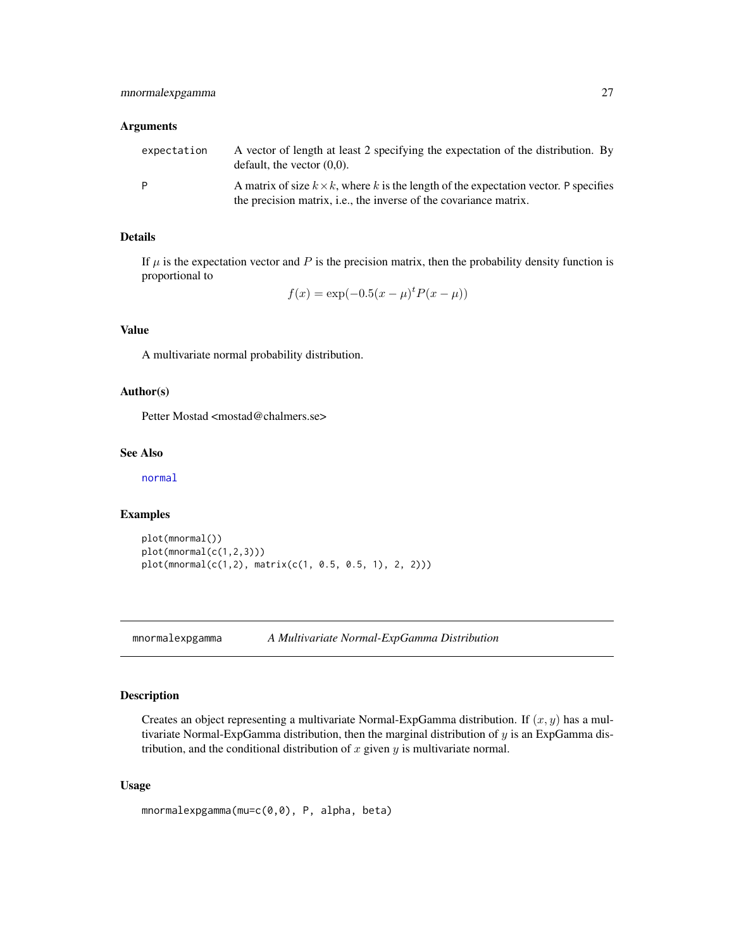#### <span id="page-26-0"></span>Arguments

| expectation | A vector of length at least 2 specifying the expectation of the distribution. By<br>default, the vector $(0,0)$ .                                                         |
|-------------|---------------------------------------------------------------------------------------------------------------------------------------------------------------------------|
| P           | A matrix of size $k \times k$ , where k is the length of the expectation vector. P specifies<br>the precision matrix, <i>i.e.</i> , the inverse of the covariance matrix. |

### Details

If  $\mu$  is the expectation vector and P is the precision matrix, then the probability density function is proportional to

$$
f(x) = \exp(-0.5(x - \mu)^t P(x - \mu))
$$

### Value

A multivariate normal probability distribution.

#### Author(s)

Petter Mostad <mostad@chalmers.se>

#### See Also

[normal](#page-30-1)

### Examples

```
plot(mnormal())
plot(mnormal(c(1,2,3)))
plot(mnormal(c(1,2), matrix(c(1, 0.5, 0.5, 1), 2, 2)))
```
<span id="page-26-1"></span>mnormalexpgamma *A Multivariate Normal-ExpGamma Distribution*

### Description

Creates an object representing a multivariate Normal-ExpGamma distribution. If  $(x, y)$  has a multivariate Normal-ExpGamma distribution, then the marginal distribution of  $y$  is an ExpGamma distribution, and the conditional distribution of  $x$  given  $y$  is multivariate normal.

```
mnormalexpgamma(mu=c(0,0), P, alpha, beta)
```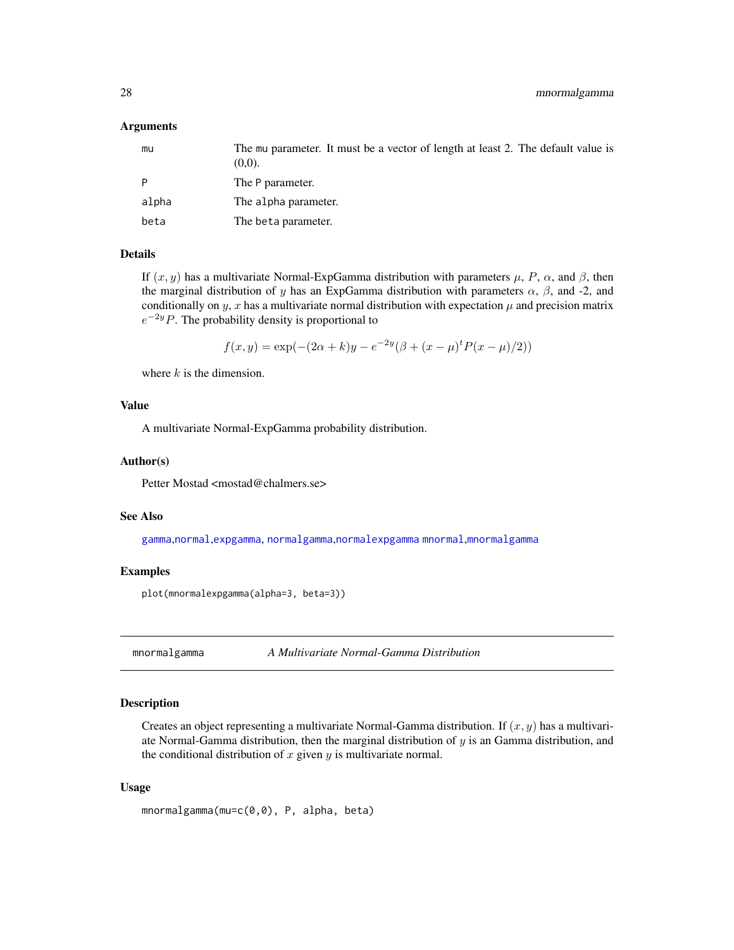#### <span id="page-27-0"></span>Arguments

| mu    | The mu parameter. It must be a vector of length at least 2. The default value is<br>(0,0). |
|-------|--------------------------------------------------------------------------------------------|
| D     | The P parameter.                                                                           |
| alpha | The alpha parameter.                                                                       |
| beta  | The beta parameter.                                                                        |

### Details

If  $(x, y)$  has a multivariate Normal-ExpGamma distribution with parameters  $\mu$ , P,  $\alpha$ , and  $\beta$ , then the marginal distribution of y has an ExpGamma distribution with parameters  $\alpha$ ,  $\beta$ , and -2, and conditionally on y, x has a multivariate normal distribution with expectation  $\mu$  and precision matrix  $e^{-2y}P$ . The probability density is proportional to

$$
f(x, y) = \exp(-(2\alpha + k)y - e^{-2y}(\beta + (x - \mu)^t P(x - \mu)/2))
$$

where  $k$  is the dimension.

#### Value

A multivariate Normal-ExpGamma probability distribution.

#### Author(s)

Petter Mostad <mostad@chalmers.se>

#### See Also

[gamma](#page-0-0),[normal](#page-30-1),[expgamma](#page-16-1), [normalgamma](#page-32-1),[normalexpgamma](#page-31-1) [mnormal](#page-25-1),[mnormalgamma](#page-27-1)

#### Examples

plot(mnormalexpgamma(alpha=3, beta=3))

<span id="page-27-1"></span>mnormalgamma *A Multivariate Normal-Gamma Distribution*

#### Description

Creates an object representing a multivariate Normal-Gamma distribution. If  $(x, y)$  has a multivariate Normal-Gamma distribution, then the marginal distribution of  $y$  is an Gamma distribution, and the conditional distribution of  $x$  given  $y$  is multivariate normal.

```
mnormalgamma(mu=c(0,0), P, alpha, beta)
```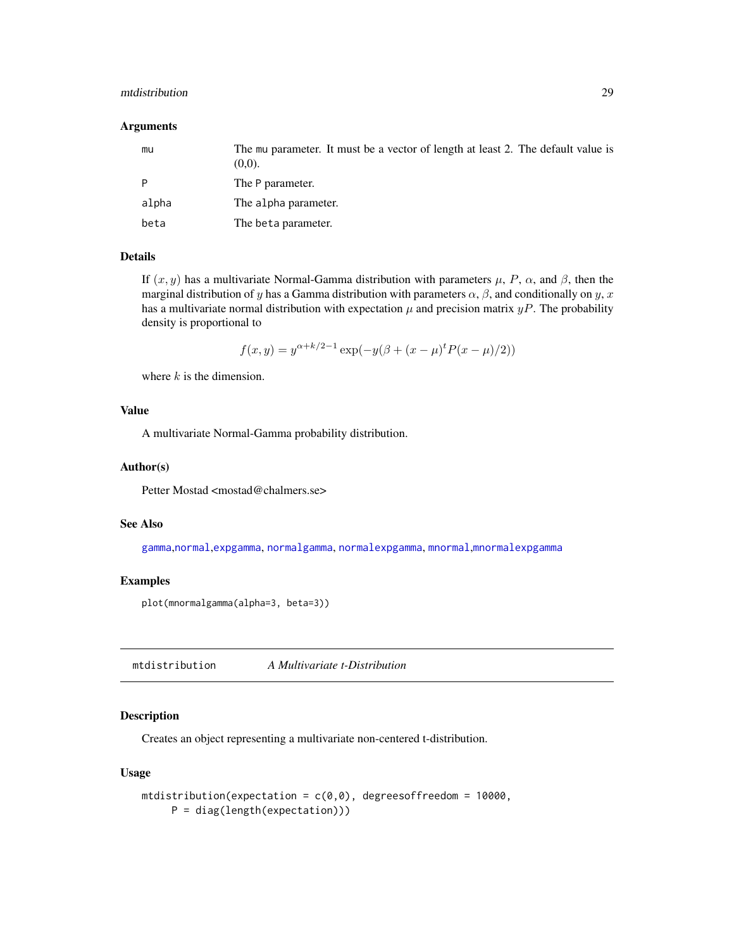### <span id="page-28-0"></span>mtdistribution 29

#### Arguments

| mu    | The mu parameter. It must be a vector of length at least 2. The default value is<br>(0,0). |
|-------|--------------------------------------------------------------------------------------------|
| P     | The P parameter.                                                                           |
| alpha | The alpha parameter.                                                                       |
| beta  | The beta parameter.                                                                        |

### Details

If  $(x, y)$  has a multivariate Normal-Gamma distribution with parameters  $\mu$ , P,  $\alpha$ , and  $\beta$ , then the marginal distribution of y has a Gamma distribution with parameters  $\alpha$ ,  $\beta$ , and conditionally on y, x has a multivariate normal distribution with expectation  $\mu$  and precision matrix  $yP$ . The probability density is proportional to

$$
f(x, y) = y^{\alpha + k/2 - 1} \exp(-y(\beta + (x - \mu)^t P(x - \mu)/2))
$$

where  $k$  is the dimension.

#### Value

A multivariate Normal-Gamma probability distribution.

#### Author(s)

Petter Mostad <mostad@chalmers.se>

#### See Also

[gamma](#page-0-0),[normal](#page-30-1),[expgamma](#page-16-1), [normalgamma](#page-32-1), [normalexpgamma](#page-31-1), [mnormal](#page-25-1),[mnormalexpgamma](#page-26-1)

### Examples

```
plot(mnormalgamma(alpha=3, beta=3))
```
<span id="page-28-1"></span>mtdistribution *A Multivariate t-Distribution*

### Description

Creates an object representing a multivariate non-centered t-distribution.

```
mtdistribution(expectation = c(0,0), degreesoffreedom = 10000,
     P = diag(length(expectation)))
```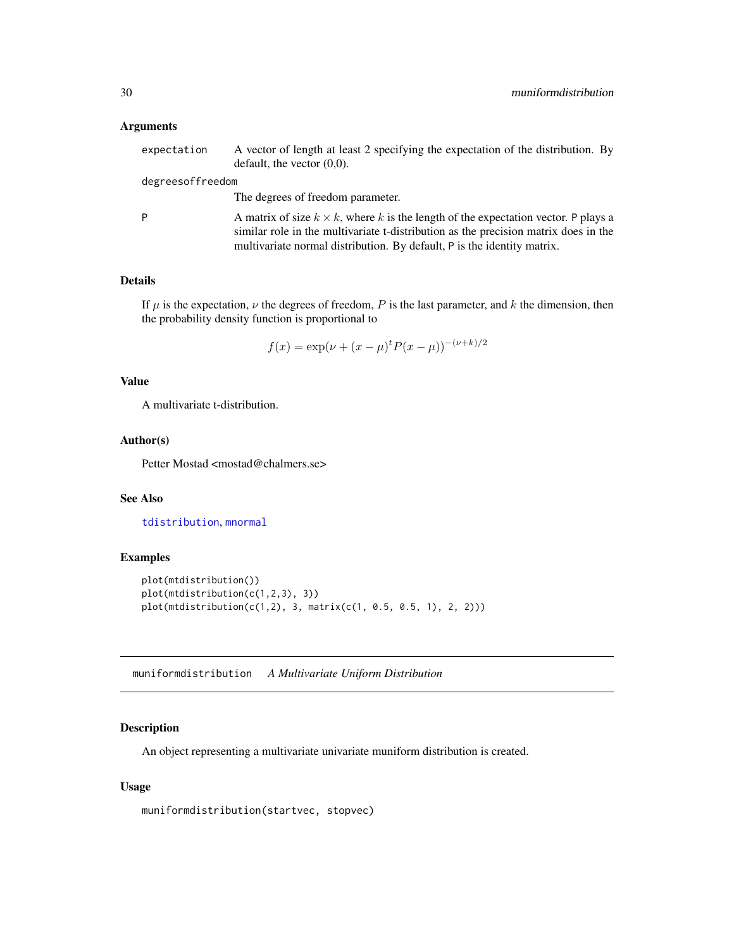#### <span id="page-29-0"></span>Arguments

| expectation      | A vector of length at least 2 specifying the expectation of the distribution. By |  |
|------------------|----------------------------------------------------------------------------------|--|
|                  | default, the vector $(0,0)$ .                                                    |  |
| degreesoffreedom |                                                                                  |  |
|                  | The degrees of freedom parameter.                                                |  |

P A matrix of size  $k \times k$ , where k is the length of the expectation vector. P plays a similar role in the multivariate t-distribution as the precision matrix does in the multivariate normal distribution. By default, P is the identity matrix.

#### Details

If  $\mu$  is the expectation,  $\nu$  the degrees of freedom, P is the last parameter, and k the dimension, then the probability density function is proportional to

$$
f(x) = \exp(\nu + (x - \mu)^t P(x - \mu))^{-(\nu + k)/2}
$$

### Value

A multivariate t-distribution.

### Author(s)

Petter Mostad <mostad@chalmers.se>

#### See Also

[tdistribution](#page-42-1), [mnormal](#page-25-1)

#### Examples

```
plot(mtdistribution())
plot(mtdistribution(c(1,2,3), 3))
plot(mtdistribution(c(1,2), 3, matrix(c(1, 0.5, 0.5, 1), 2, 2)))
```
muniformdistribution *A Multivariate Uniform Distribution*

#### Description

An object representing a multivariate univariate muniform distribution is created.

### Usage

muniformdistribution(startvec, stopvec)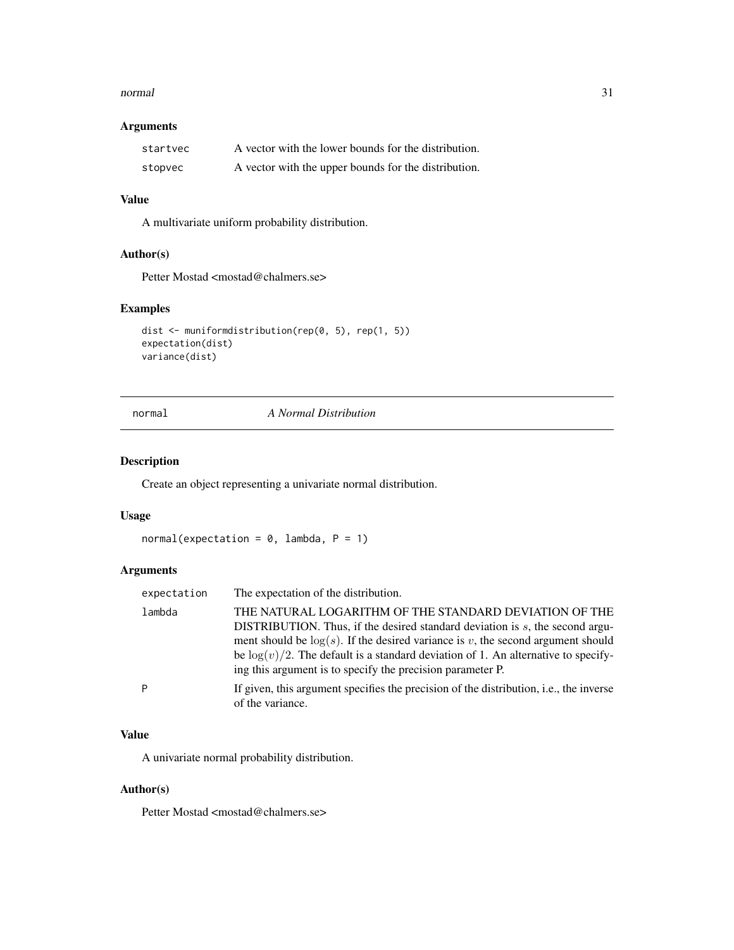#### <span id="page-30-0"></span>normal 31

### Arguments

| startvec | A vector with the lower bounds for the distribution. |
|----------|------------------------------------------------------|
| stopvec  | A vector with the upper bounds for the distribution. |

### Value

A multivariate uniform probability distribution.

### Author(s)

Petter Mostad <mostad@chalmers.se>

### Examples

```
dist <- muniformdistribution(rep(0, 5), rep(1, 5))
expectation(dist)
variance(dist)
```
normal *A Normal Distribution*

### Description

Create an object representing a univariate normal distribution.

#### Usage

```
normal(expectation = 0, lambda, P = 1)
```
### Arguments

| expectation | The expectation of the distribution.                                                                                                                                                                                                                                                                                                                                                   |
|-------------|----------------------------------------------------------------------------------------------------------------------------------------------------------------------------------------------------------------------------------------------------------------------------------------------------------------------------------------------------------------------------------------|
| lambda      | THE NATURAL LOGARITHM OF THE STANDARD DEVIATION OF THE<br>DISTRIBUTION. Thus, if the desired standard deviation is $s$ , the second argu-<br>ment should be $log(s)$ . If the desired variance is v, the second argument should<br>be $\log(v)/2$ . The default is a standard deviation of 1. An alternative to specify-<br>ing this argument is to specify the precision parameter P. |
| Þ           | If given, this argument specifies the precision of the distribution, <i>i.e.</i> , the inverse<br>of the variance.                                                                                                                                                                                                                                                                     |

### Value

A univariate normal probability distribution.

### Author(s)

Petter Mostad <mostad@chalmers.se>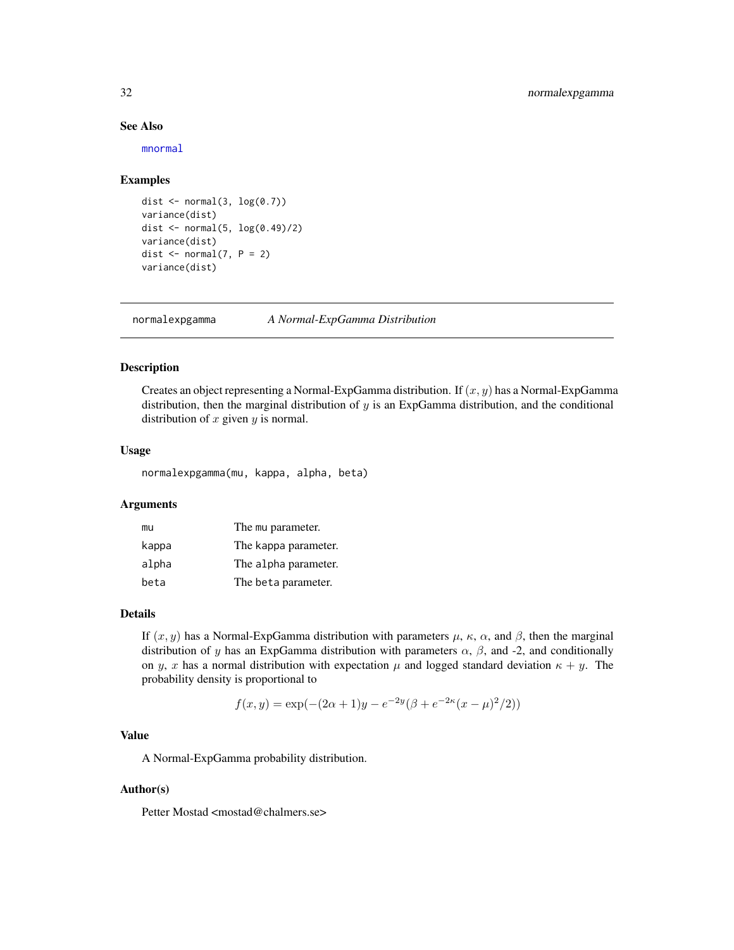#### See Also

[mnormal](#page-25-1)

#### Examples

```
dist \leq normal(3, log(0.7))
variance(dist)
dist \le normal(5, \log(0.49)/2)
variance(dist)
dist \leq normal(7, P = 2)
variance(dist)
```
<span id="page-31-1"></span>normalexpgamma *A Normal-ExpGamma Distribution*

#### Description

Creates an object representing a Normal-ExpGamma distribution. If  $(x, y)$  has a Normal-ExpGamma distribution, then the marginal distribution of  $y$  is an ExpGamma distribution, and the conditional distribution of  $x$  given  $y$  is normal.

#### Usage

normalexpgamma(mu, kappa, alpha, beta)

### Arguments

| mu    | The mu parameter.    |
|-------|----------------------|
| kappa | The kappa parameter. |
| alpha | The alpha parameter. |
| beta  | The beta parameter.  |

### Details

If  $(x, y)$  has a Normal-ExpGamma distribution with parameters  $\mu$ ,  $\kappa$ ,  $\alpha$ , and  $\beta$ , then the marginal distribution of y has an ExpGamma distribution with parameters  $\alpha$ ,  $\beta$ , and -2, and conditionally on y, x has a normal distribution with expectation  $\mu$  and logged standard deviation  $\kappa + y$ . The probability density is proportional to

$$
f(x, y) = \exp(-(2\alpha + 1)y - e^{-2y}(\beta + e^{-2\kappa}(x - \mu)^{2}/2))
$$

### Value

A Normal-ExpGamma probability distribution.

#### Author(s)

Petter Mostad <mostad@chalmers.se>

<span id="page-31-0"></span>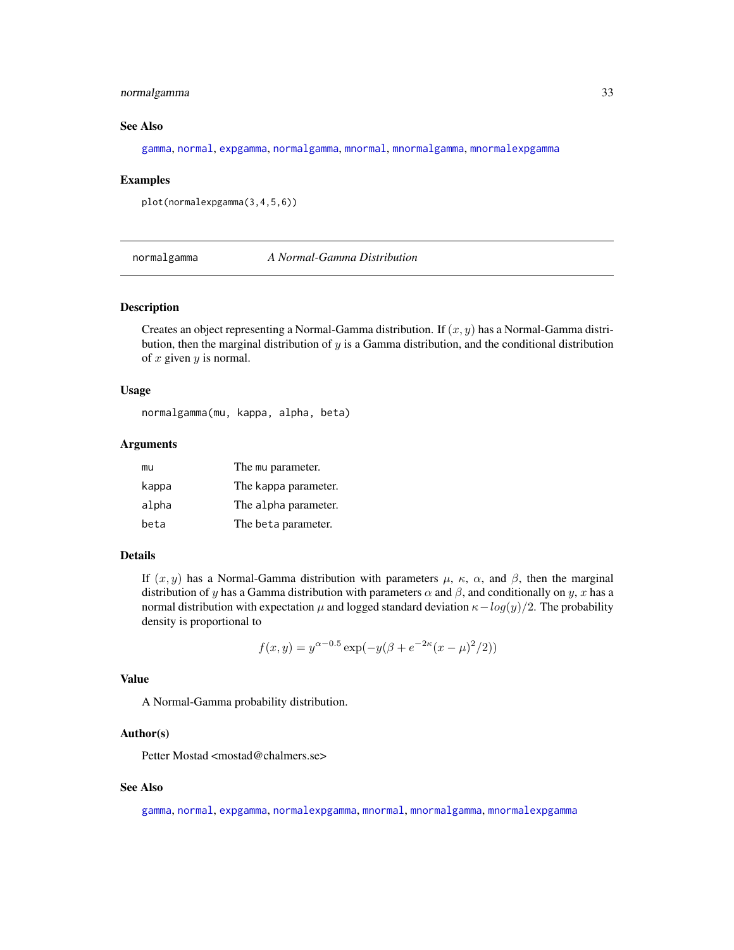### <span id="page-32-0"></span>normalgamma 33

#### See Also

[gamma](#page-0-0), [normal](#page-30-1), [expgamma](#page-16-1), [normalgamma](#page-32-1), [mnormal](#page-25-1), [mnormalgamma](#page-27-1), [mnormalexpgamma](#page-26-1)

#### Examples

```
plot(normalexpgamma(3,4,5,6))
```
<span id="page-32-1"></span>

| normalgamma |  |
|-------------|--|
|             |  |
|             |  |

normalgamma *A Normal-Gamma Distribution*

#### Description

Creates an object representing a Normal-Gamma distribution. If  $(x, y)$  has a Normal-Gamma distribution, then the marginal distribution of  $y$  is a Gamma distribution, and the conditional distribution of  $x$  given  $y$  is normal.

### Usage

```
normalgamma(mu, kappa, alpha, beta)
```
#### Arguments

| mu    | The mu parameter.    |
|-------|----------------------|
| kappa | The kappa parameter. |
| alpha | The alpha parameter. |
| beta  | The beta parameter.  |

### Details

If  $(x, y)$  has a Normal-Gamma distribution with parameters  $\mu$ ,  $\kappa$ ,  $\alpha$ , and  $\beta$ , then the marginal distribution of y has a Gamma distribution with parameters  $\alpha$  and  $\beta$ , and conditionally on y, x has a normal distribution with expectation  $\mu$  and logged standard deviation  $\kappa - log(y)/2$ . The probability density is proportional to

$$
f(x, y) = y^{\alpha - 0.5} \exp(-y(\beta + e^{-2\kappa}(x - \mu)^{2}/2))
$$

### Value

A Normal-Gamma probability distribution.

#### Author(s)

Petter Mostad <mostad@chalmers.se>

#### See Also

[gamma](#page-0-0), [normal](#page-30-1), [expgamma](#page-16-1), [normalexpgamma](#page-31-1), [mnormal](#page-25-1), [mnormalgamma](#page-27-1), [mnormalexpgamma](#page-26-1)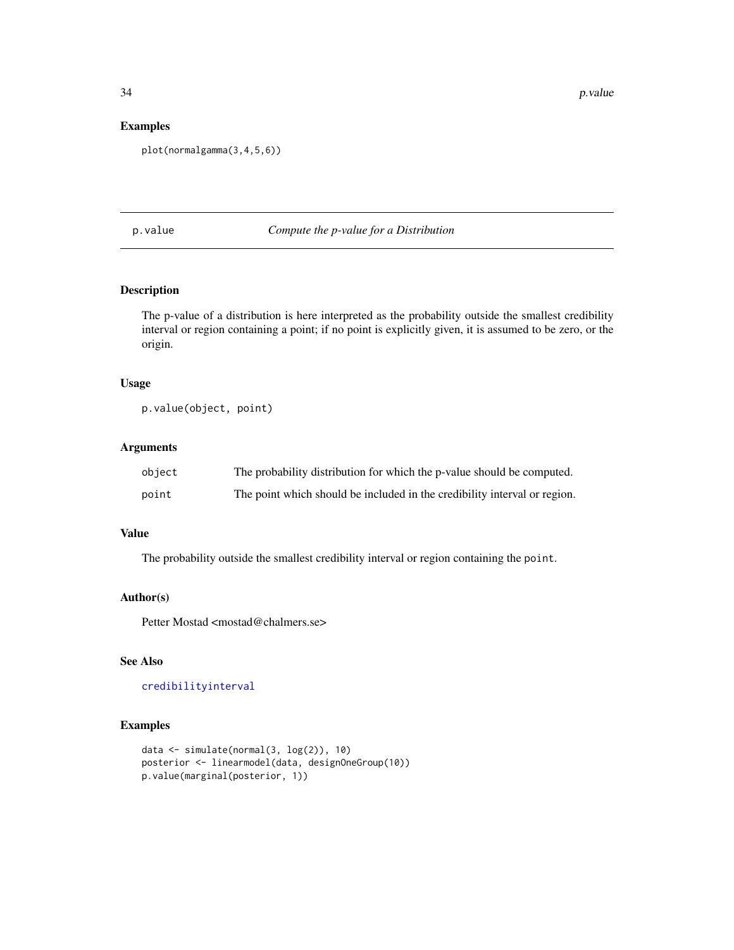### Examples

plot(normalgamma(3,4,5,6))

<span id="page-33-1"></span>p.value *Compute the p-value for a Distribution*

### Description

The p-value of a distribution is here interpreted as the probability outside the smallest credibility interval or region containing a point; if no point is explicitly given, it is assumed to be zero, or the origin.

### Usage

p.value(object, point)

### Arguments

| object | The probability distribution for which the p-value should be computed.    |
|--------|---------------------------------------------------------------------------|
| point  | The point which should be included in the credibility interval or region. |

#### Value

The probability outside the smallest credibility interval or region containing the point.

#### Author(s)

Petter Mostad <mostad@chalmers.se>

### See Also

### [credibilityinterval](#page-9-2)

```
data <- simulate(normal(3, log(2)), 10)
posterior <- linearmodel(data, designOneGroup(10))
p.value(marginal(posterior, 1))
```
<span id="page-33-0"></span>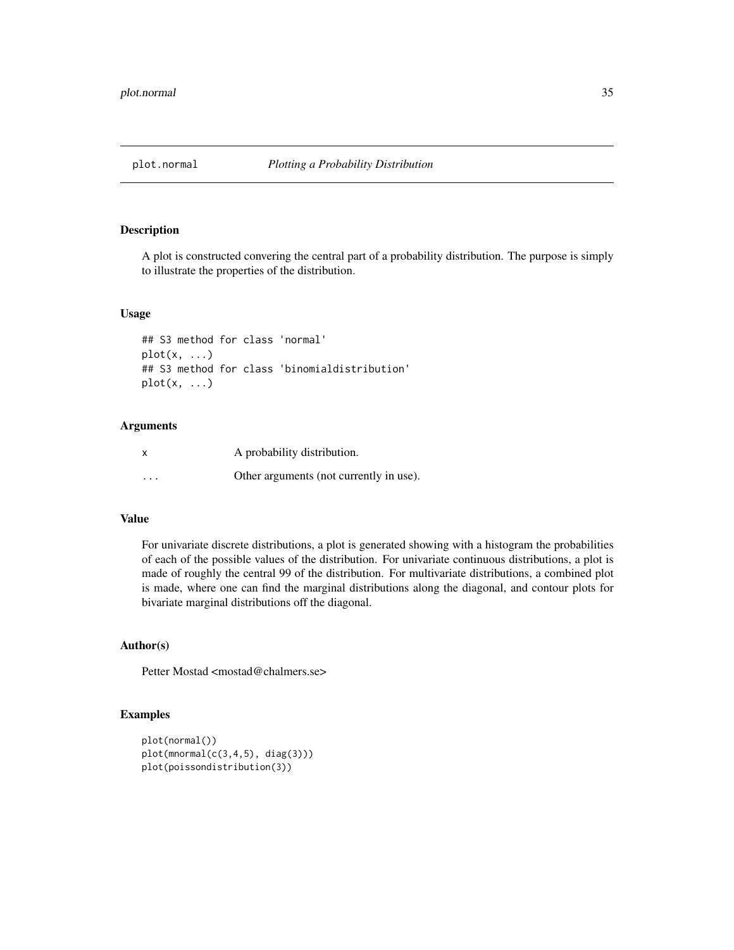<span id="page-34-0"></span>

A plot is constructed convering the central part of a probability distribution. The purpose is simply to illustrate the properties of the distribution.

#### Usage

```
## S3 method for class 'normal'
plot(x, \ldots)## S3 method for class 'binomialdistribution'
plot(x, \ldots)
```
#### Arguments

| x       | A probability distribution.             |
|---------|-----------------------------------------|
| $\cdot$ | Other arguments (not currently in use). |

#### Value

For univariate discrete distributions, a plot is generated showing with a histogram the probabilities of each of the possible values of the distribution. For univariate continuous distributions, a plot is made of roughly the central 99 of the distribution. For multivariate distributions, a combined plot is made, where one can find the marginal distributions along the diagonal, and contour plots for bivariate marginal distributions off the diagonal.

### Author(s)

Petter Mostad <mostad@chalmers.se>

```
plot(normal())
plot(mnormal(c(3,4,5), diag(3)))plot(poissondistribution(3))
```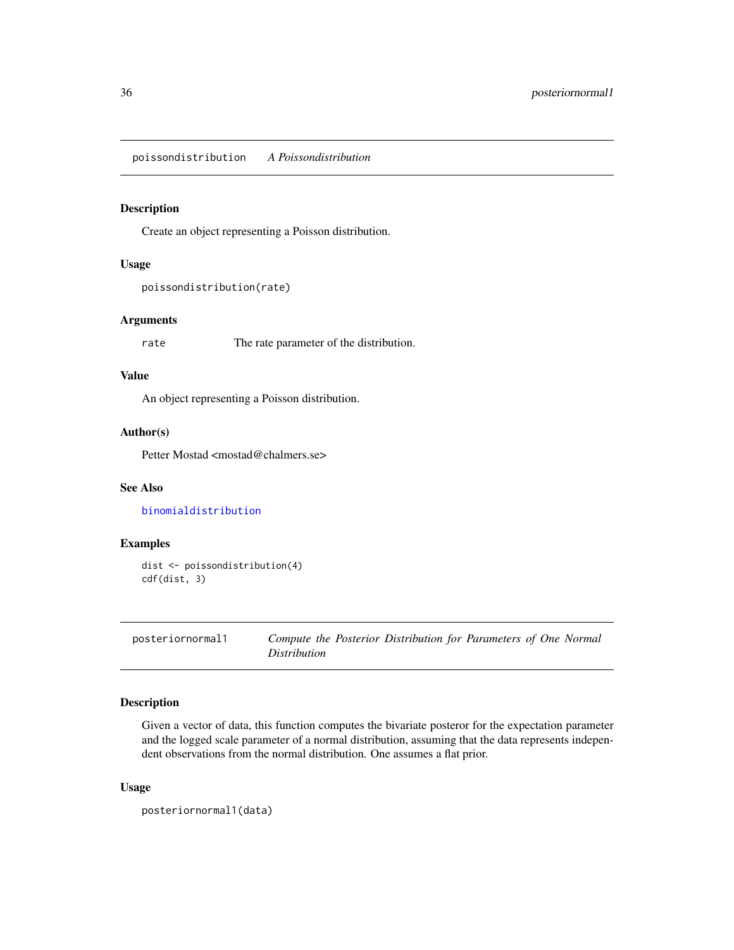<span id="page-35-0"></span>Create an object representing a Poisson distribution.

### Usage

```
poissondistribution(rate)
```
#### Arguments

rate The rate parameter of the distribution.

### Value

An object representing a Poisson distribution.

### Author(s)

Petter Mostad <mostad@chalmers.se>

### See Also

[binomialdistribution](#page-6-1)

### Examples

```
dist <- poissondistribution(4)
cdf(dist, 3)
```
<span id="page-35-1"></span>

| posteriornormal1 | Compute the Posterior Distribution for Parameters of One Normal |
|------------------|-----------------------------------------------------------------|
|                  | Distribution                                                    |

### Description

Given a vector of data, this function computes the bivariate posteror for the expectation parameter and the logged scale parameter of a normal distribution, assuming that the data represents independent observations from the normal distribution. One assumes a flat prior.

```
posteriornormal1(data)
```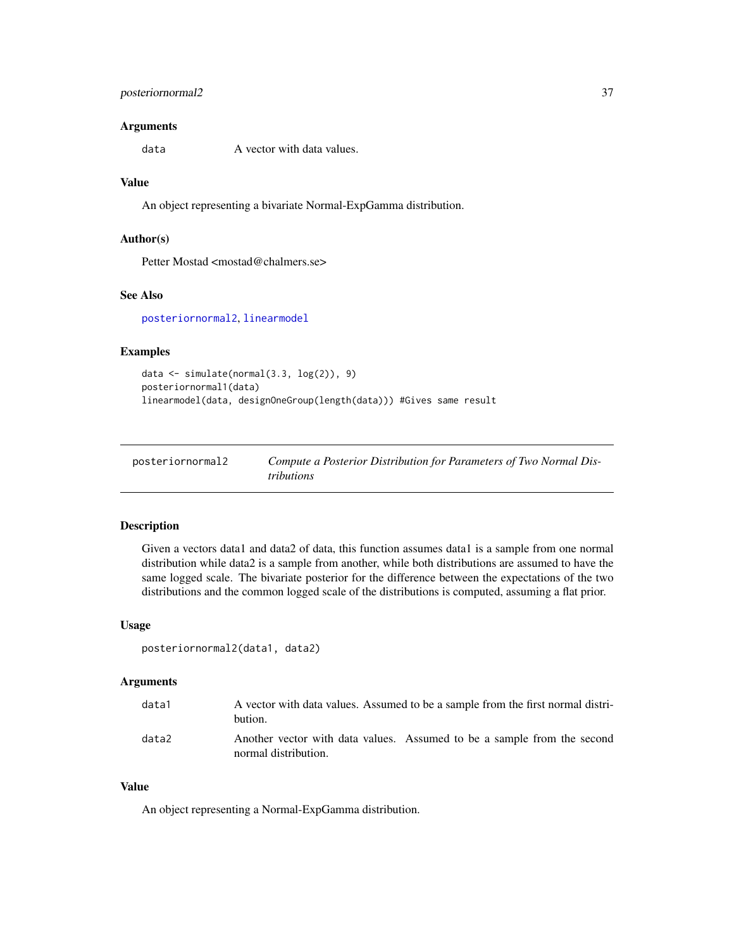### <span id="page-36-0"></span>posteriornormal2 37

#### Arguments

data A vector with data values.

### Value

An object representing a bivariate Normal-ExpGamma distribution.

### Author(s)

Petter Mostad <mostad@chalmers.se>

### See Also

[posteriornormal2](#page-36-1), [linearmodel](#page-21-1)

#### Examples

```
data <- simulate(normal(3.3, log(2)), 9)
posteriornormal1(data)
linearmodel(data, designOneGroup(length(data))) #Gives same result
```
<span id="page-36-1"></span>

| posteriornormal2 | Compute a Posterior Distribution for Parameters of Two Normal Dis- |
|------------------|--------------------------------------------------------------------|
|                  | tributions                                                         |

#### Description

Given a vectors data1 and data2 of data, this function assumes data1 is a sample from one normal distribution while data2 is a sample from another, while both distributions are assumed to have the same logged scale. The bivariate posterior for the difference between the expectations of the two distributions and the common logged scale of the distributions is computed, assuming a flat prior.

#### Usage

```
posteriornormal2(data1, data2)
```
#### Arguments

| data1 | A vector with data values. Assumed to be a sample from the first normal distri-<br>bution.      |
|-------|-------------------------------------------------------------------------------------------------|
| data2 | Another vector with data values. Assumed to be a sample from the second<br>normal distribution. |

### Value

An object representing a Normal-ExpGamma distribution.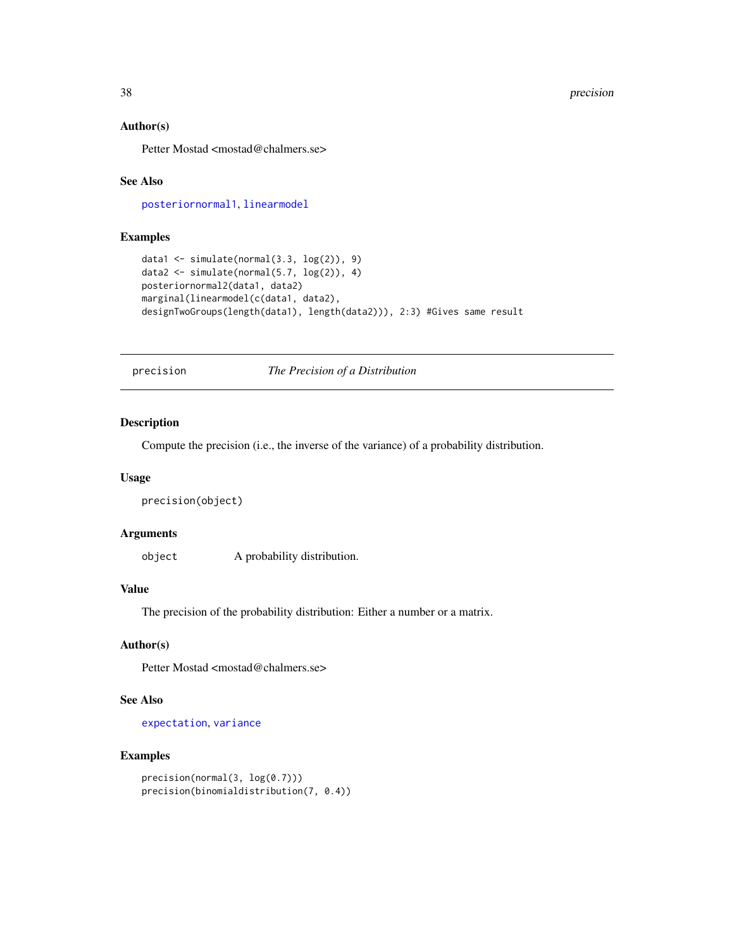#### <span id="page-37-0"></span>Author(s)

Petter Mostad <mostad@chalmers.se>

### See Also

[posteriornormal1](#page-35-1), [linearmodel](#page-21-1)

#### Examples

```
data1 <- simulate(normal(3.3, \log(2)), 9)
data2 <- simulate(normal(5.7, log(2)), 4)
posteriornormal2(data1, data2)
marginal(linearmodel(c(data1, data2),
designTwoGroups(length(data1), length(data2))), 2:3) #Gives same result
```
precision *The Precision of a Distribution*

### Description

Compute the precision (i.e., the inverse of the variance) of a probability distribution.

#### Usage

```
precision(object)
```
### Arguments

object A probability distribution.

### Value

The precision of the probability distribution: Either a number or a matrix.

#### Author(s)

Petter Mostad <mostad@chalmers.se>

### See Also

[expectation](#page-16-2), [variance](#page-43-1)

```
precision(normal(3, log(0.7)))
precision(binomialdistribution(7, 0.4))
```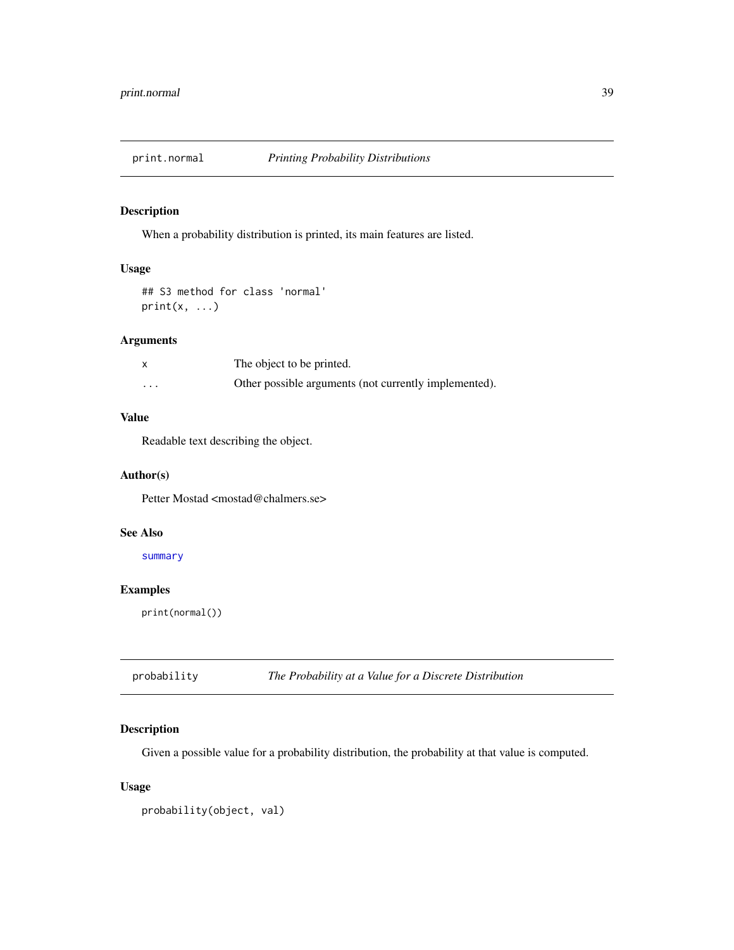<span id="page-38-0"></span>

When a probability distribution is printed, its main features are listed.

#### Usage

```
## S3 method for class 'normal'
print(x, \ldots)
```
### Arguments

|          | The object to be printed.                             |
|----------|-------------------------------------------------------|
| $\cdots$ | Other possible arguments (not currently implemented). |

### Value

Readable text describing the object.

### Author(s)

Petter Mostad <mostad@chalmers.se>

#### See Also

[summary](#page-0-0)

### Examples

print(normal())

| probability |  | The Probability at a Value for a Discrete Distribution |
|-------------|--|--------------------------------------------------------|
|-------------|--|--------------------------------------------------------|

### Description

Given a possible value for a probability distribution, the probability at that value is computed.

### Usage

probability(object, val)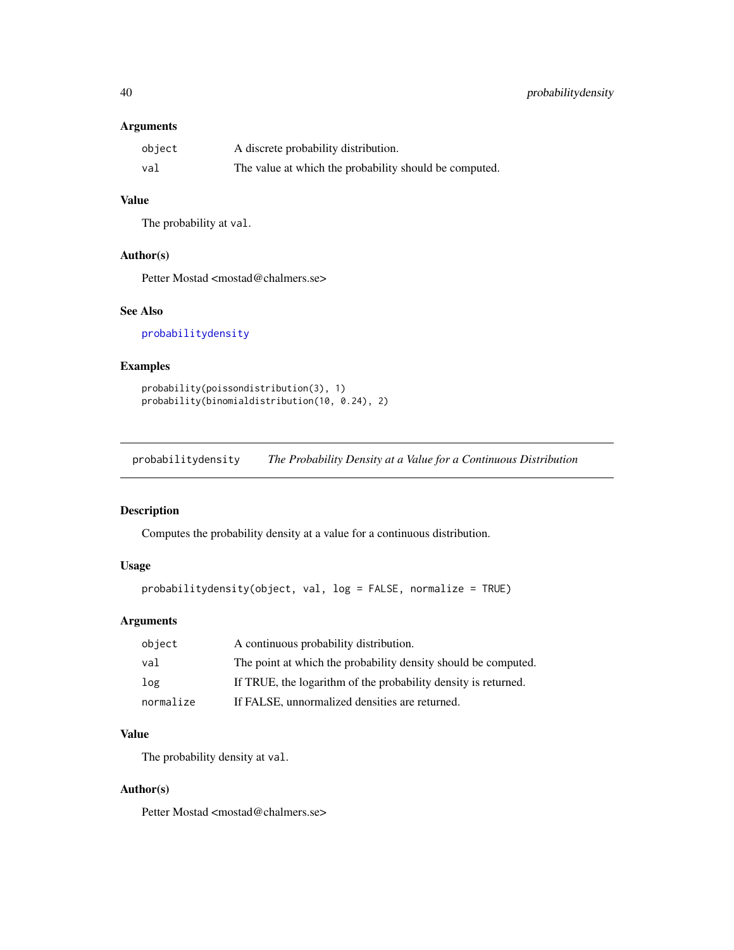### <span id="page-39-0"></span>Arguments

| object | A discrete probability distribution.                   |
|--------|--------------------------------------------------------|
| val    | The value at which the probability should be computed. |

### Value

The probability at val.

### Author(s)

Petter Mostad <mostad@chalmers.se>

### See Also

[probabilitydensity](#page-39-1)

### Examples

```
probability(poissondistribution(3), 1)
probability(binomialdistribution(10, 0.24), 2)
```
<span id="page-39-1"></span>probabilitydensity *The Probability Density at a Value for a Continuous Distribution*

### Description

Computes the probability density at a value for a continuous distribution.

### Usage

```
probabilitydensity(object, val, log = FALSE, normalize = TRUE)
```
### Arguments

| object    | A continuous probability distribution.                         |
|-----------|----------------------------------------------------------------|
| val       | The point at which the probability density should be computed. |
| log       | If TRUE, the logarithm of the probability density is returned. |
| normalize | If FALSE, unnormalized densities are returned.                 |

### Value

The probability density at val.

### Author(s)

Petter Mostad <mostad@chalmers.se>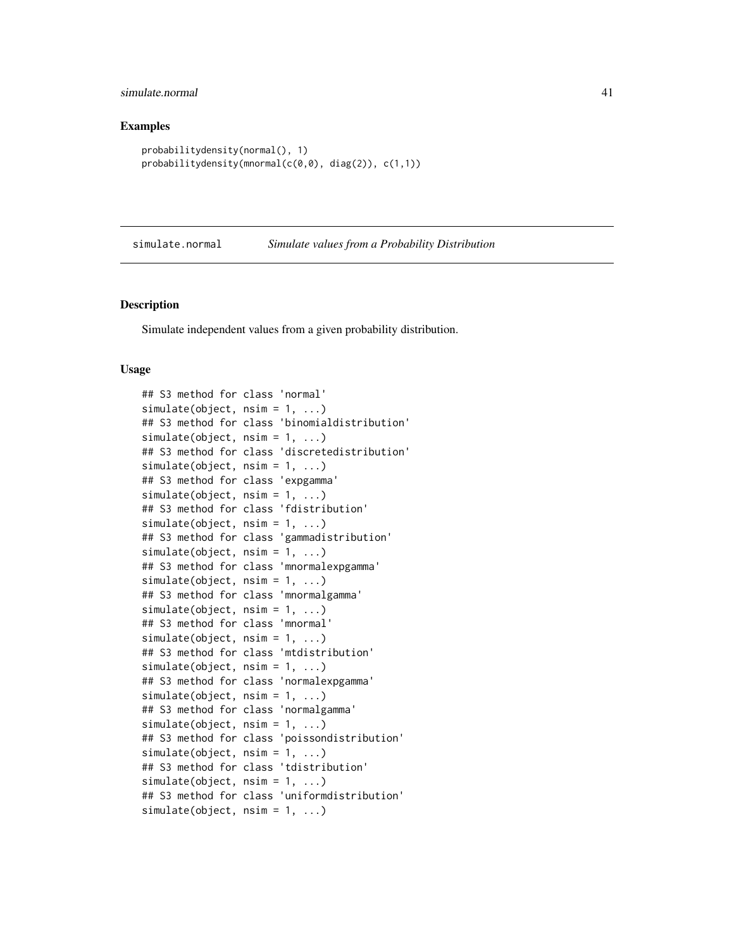#### <span id="page-40-0"></span>simulate.normal 41

#### Examples

```
probabilitydensity(normal(), 1)
probabilitydensity(mnormal(c(0,0), diag(2)), c(1,1))
```
simulate.normal *Simulate values from a Probability Distribution*

### Description

Simulate independent values from a given probability distribution.

```
## S3 method for class 'normal'
simulate(object, nsim = 1, ...)## S3 method for class 'binomialdistribution'
simulate(object, nsim = 1, ...)## S3 method for class 'discretedistribution'
simulate(object, nsim = 1, ...)
## S3 method for class 'expgamma'
simulate(object, nsim = 1, ...)## S3 method for class 'fdistribution'
simulate(object, nsim = 1, ...)
## S3 method for class 'gammadistribution'
simulate(object, nsim = 1, ...)## S3 method for class 'mnormalexpgamma'
simulate(object, nsim = 1, ...)## S3 method for class 'mnormalgamma'
simulate(object, nsim = 1, ...)## S3 method for class 'mnormal'
simulate(object, nsim = 1, ...)## S3 method for class 'mtdistribution'
simulate(object, nsim = 1, ...)## S3 method for class 'normalexpgamma'
simulate(object, nsim = 1, ...)## S3 method for class 'normalgamma'
simulate(object, nsim = 1, ...)## S3 method for class 'poissondistribution'
simulate(object, nsim = 1, ...)
## S3 method for class 'tdistribution'
simulate(objject, nsim = 1, ...)## S3 method for class 'uniformdistribution'
simulate(object, nsim = 1, ...)
```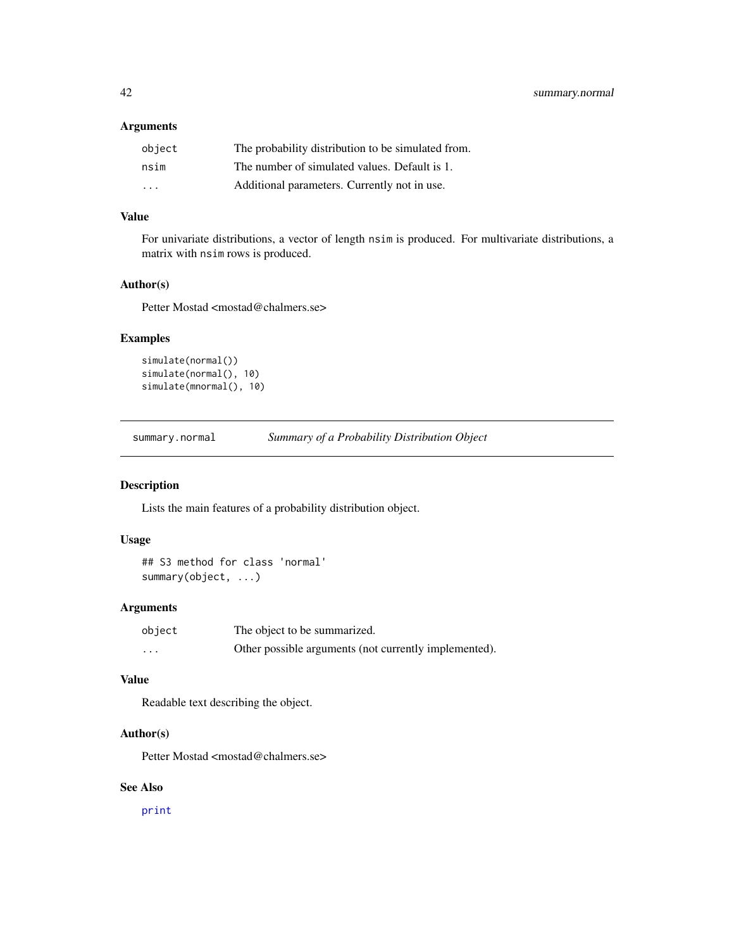<span id="page-41-0"></span>42 summary.normal

### Arguments

| object                  | The probability distribution to be simulated from. |
|-------------------------|----------------------------------------------------|
| nsim                    | The number of simulated values. Default is 1.      |
| $\cdot$ $\cdot$ $\cdot$ | Additional parameters. Currently not in use.       |

### Value

For univariate distributions, a vector of length nsim is produced. For multivariate distributions, a matrix with nsim rows is produced.

### Author(s)

Petter Mostad <mostad@chalmers.se>

#### Examples

```
simulate(normal())
simulate(normal(), 10)
simulate(mnormal(), 10)
```
summary.normal *Summary of a Probability Distribution Object*

### Description

Lists the main features of a probability distribution object.

### Usage

```
## S3 method for class 'normal'
summary(object, ...)
```
### Arguments

| object   | The object to be summarized.                          |
|----------|-------------------------------------------------------|
| $\cdots$ | Other possible arguments (not currently implemented). |

### Value

Readable text describing the object.

### Author(s)

Petter Mostad <mostad@chalmers.se>

### See Also

[print](#page-0-0)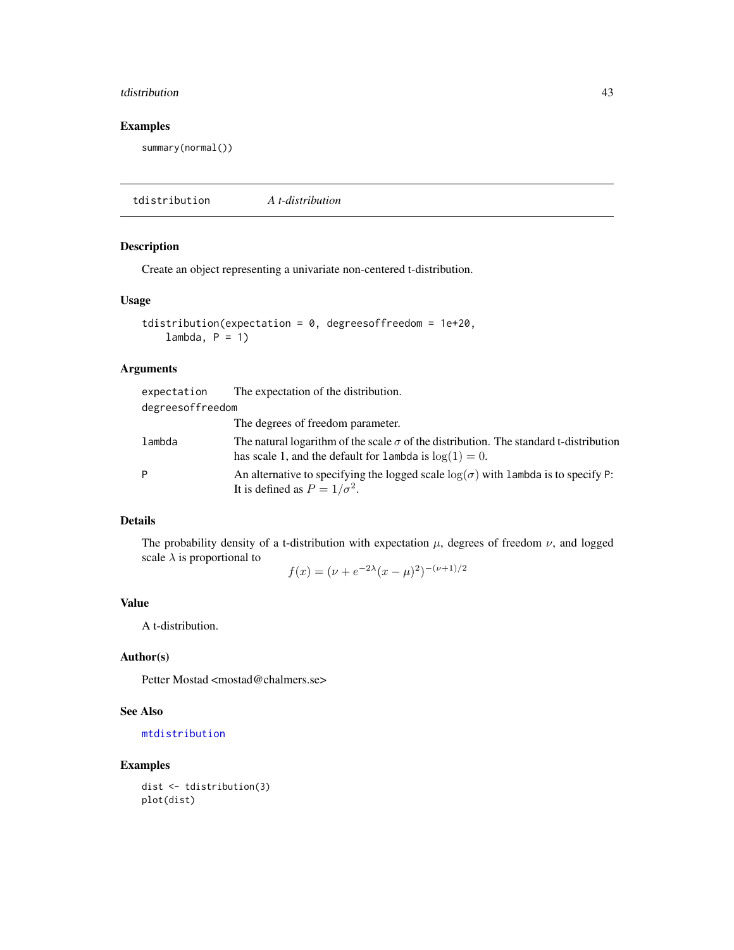#### <span id="page-42-0"></span>tdistribution 43

### Examples

summary(normal())

<span id="page-42-1"></span>tdistribution *A t-distribution*

### Description

Create an object representing a univariate non-centered t-distribution.

#### Usage

```
tdistribution(expectation = 0, degreesoffreedom = 1e+20,
   lambda, P = 1)
```
### Arguments

| expectation      | The expectation of the distribution.                                                                                                                       |
|------------------|------------------------------------------------------------------------------------------------------------------------------------------------------------|
| degreesoffreedom |                                                                                                                                                            |
|                  | The degrees of freedom parameter.                                                                                                                          |
| lambda           | The natural logarithm of the scale $\sigma$ of the distribution. The standard t-distribution<br>has scale 1, and the default for 1 ambda is $log(1) = 0$ . |
| P                | An alternative to specifying the logged scale $log(\sigma)$ with lambda is to specify P:<br>It is defined as $P = 1/\sigma^2$ .                            |

### Details

The probability density of a t-distribution with expectation  $\mu$ , degrees of freedom  $\nu$ , and logged scale  $\lambda$  is proportional to

$$
f(x) = (\nu + e^{-2\lambda}(x - \mu)^2)^{-(\nu + 1)/2}
$$

### Value

A t-distribution.

### Author(s)

Petter Mostad <mostad@chalmers.se>

### See Also

### [mtdistribution](#page-28-1)

### Examples

dist <- tdistribution(3) plot(dist)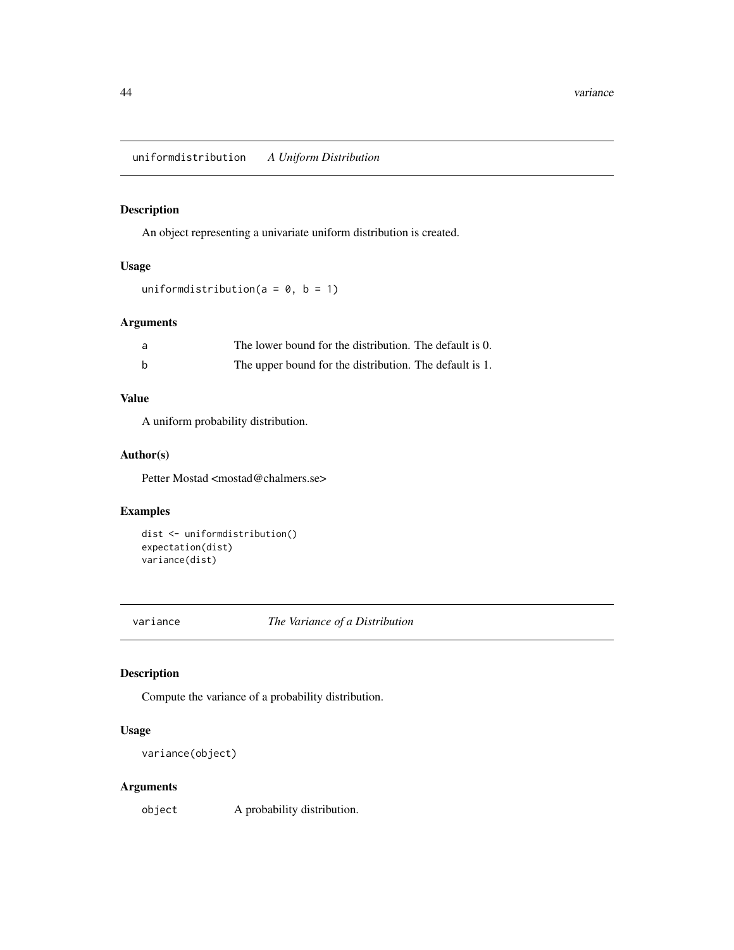<span id="page-43-0"></span>uniformdistribution *A Uniform Distribution*

### Description

An object representing a univariate uniform distribution is created.

### Usage

```
uniformdistribution(a = 0, b = 1)
```
### Arguments

|   | The lower bound for the distribution. The default is 0. |  |
|---|---------------------------------------------------------|--|
| b | The upper bound for the distribution. The default is 1. |  |

### Value

A uniform probability distribution.

### Author(s)

Petter Mostad <mostad@chalmers.se>

### Examples

```
dist <- uniformdistribution()
expectation(dist)
variance(dist)
```
<span id="page-43-1"></span>variance *The Variance of a Distribution*

### Description

Compute the variance of a probability distribution.

#### Usage

variance(object)

#### Arguments

object A probability distribution.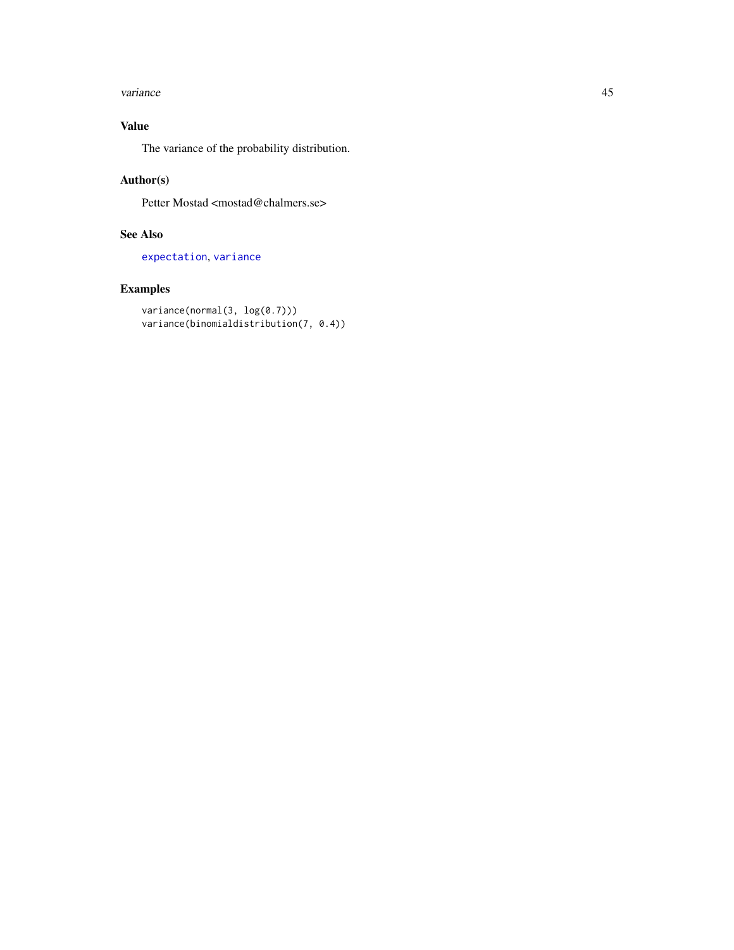#### <span id="page-44-0"></span>variance and the contract of the contract of the contract of the contract of the contract of the contract of the contract of the contract of the contract of the contract of the contract of the contract of the contract of t

### Value

The variance of the probability distribution.

### Author(s)

Petter Mostad <mostad@chalmers.se>

### See Also

[expectation](#page-16-2), [variance](#page-43-1)

```
variance(normal(3, log(0.7)))
variance(binomialdistribution(7, 0.4))
```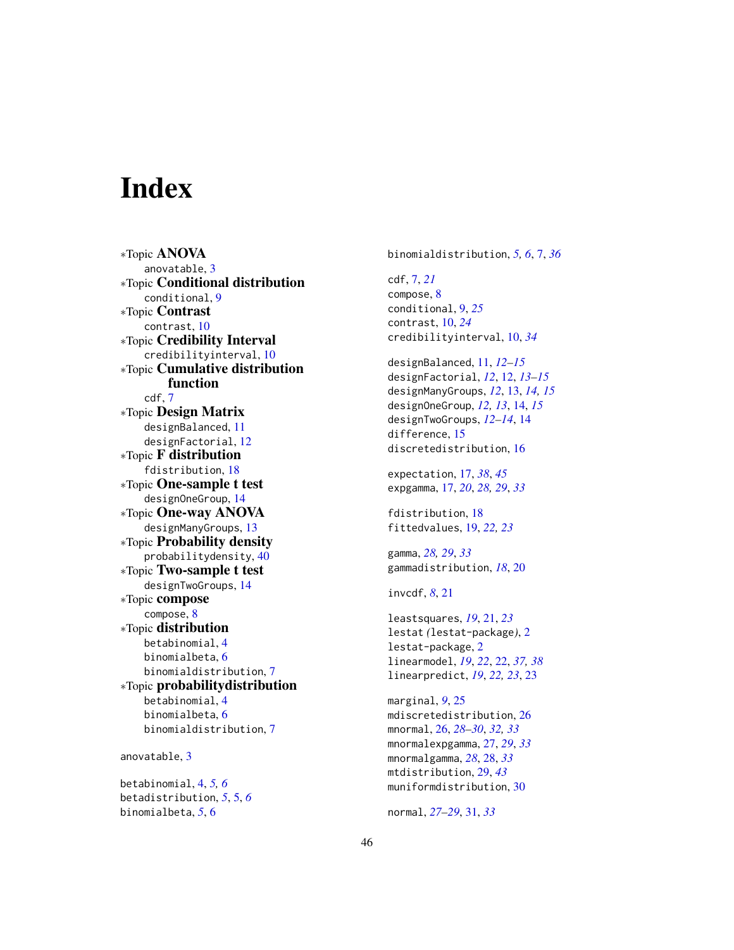# <span id="page-45-0"></span>**Index**

∗Topic ANOVA anovatable, [3](#page-2-0) ∗Topic Conditional distribution conditional, [9](#page-8-0) ∗Topic Contrast contrast, [10](#page-9-0) ∗Topic Credibility Interval credibilityinterval, [10](#page-9-0) ∗Topic Cumulative distribution function cdf, [7](#page-6-0) ∗Topic Design Matrix designBalanced, [11](#page-10-0) designFactorial, [12](#page-11-0) ∗Topic F distribution fdistribution, [18](#page-17-0) ∗Topic One-sample t test designOneGroup, [14](#page-13-0) ∗Topic One-way ANOVA designManyGroups, [13](#page-12-0) ∗Topic Probability density probabilitydensity, [40](#page-39-0) ∗Topic Two-sample t test designTwoGroups, [14](#page-13-0) ∗Topic compose compose, [8](#page-7-0) ∗Topic distribution betabinomial, [4](#page-3-0) binomialbeta, [6](#page-5-0) binomialdistribution, [7](#page-6-0) ∗Topic probabilitydistribution betabinomial, [4](#page-3-0) binomialbeta, [6](#page-5-0) binomialdistribution, [7](#page-6-0) anovatable, [3](#page-2-0) betabinomial, [4,](#page-3-0) *[5,](#page-4-0) [6](#page-5-0)*

betadistribution, *[5](#page-4-0)*, [5,](#page-4-0) *[6](#page-5-0)* binomialbeta, *[5](#page-4-0)*, [6](#page-5-0)

binomialdistribution, *[5,](#page-4-0) [6](#page-5-0)*, [7,](#page-6-0) *[36](#page-35-0)* cdf, [7,](#page-6-0) *[21](#page-20-0)* compose, [8](#page-7-0) conditional, [9,](#page-8-0) *[25](#page-24-0)* contrast, [10,](#page-9-0) *[24](#page-23-0)* credibilityinterval, [10,](#page-9-0) *[34](#page-33-0)* designBalanced, [11,](#page-10-0) *[12](#page-11-0)[–15](#page-14-0)* designFactorial, *[12](#page-11-0)*, [12,](#page-11-0) *[13](#page-12-0)[–15](#page-14-0)* designManyGroups, *[12](#page-11-0)*, [13,](#page-12-0) *[14,](#page-13-0) [15](#page-14-0)* designOneGroup, *[12,](#page-11-0) [13](#page-12-0)*, [14,](#page-13-0) *[15](#page-14-0)* designTwoGroups, *[12](#page-11-0)[–14](#page-13-0)*, [14](#page-13-0) difference, [15](#page-14-0) discretedistribution, [16](#page-15-0) expectation, [17,](#page-16-0) *[38](#page-37-0)*, *[45](#page-44-0)* expgamma, [17,](#page-16-0) *[20](#page-19-0)*, *[28,](#page-27-0) [29](#page-28-0)*, *[33](#page-32-0)* fdistribution, [18](#page-17-0) fittedvalues, [19,](#page-18-0) *[22,](#page-21-0) [23](#page-22-0)* gamma, *[28,](#page-27-0) [29](#page-28-0)*, *[33](#page-32-0)* gammadistribution, *[18](#page-17-0)*, [20](#page-19-0) invcdf, *[8](#page-7-0)*, [21](#page-20-0) leastsquares, *[19](#page-18-0)*, [21,](#page-20-0) *[23](#page-22-0)* lestat *(*lestat-package*)*, [2](#page-1-0) lestat-package, [2](#page-1-0) linearmodel, *[19](#page-18-0)*, *[22](#page-21-0)*, [22,](#page-21-0) *[37,](#page-36-0) [38](#page-37-0)* linearpredict, *[19](#page-18-0)*, *[22,](#page-21-0) [23](#page-22-0)*, [23](#page-22-0) marginal, *[9](#page-8-0)*, [25](#page-24-0) mdiscretedistribution, [26](#page-25-0) mnormal, [26,](#page-25-0) *[28](#page-27-0)[–30](#page-29-0)*, *[32,](#page-31-0) [33](#page-32-0)* mnormalexpgamma, [27,](#page-26-0) *[29](#page-28-0)*, *[33](#page-32-0)* mnormalgamma, *[28](#page-27-0)*, [28,](#page-27-0) *[33](#page-32-0)* mtdistribution, [29,](#page-28-0) *[43](#page-42-0)* muniformdistribution, [30](#page-29-0)

normal, *[27](#page-26-0)[–29](#page-28-0)*, [31,](#page-30-0) *[33](#page-32-0)*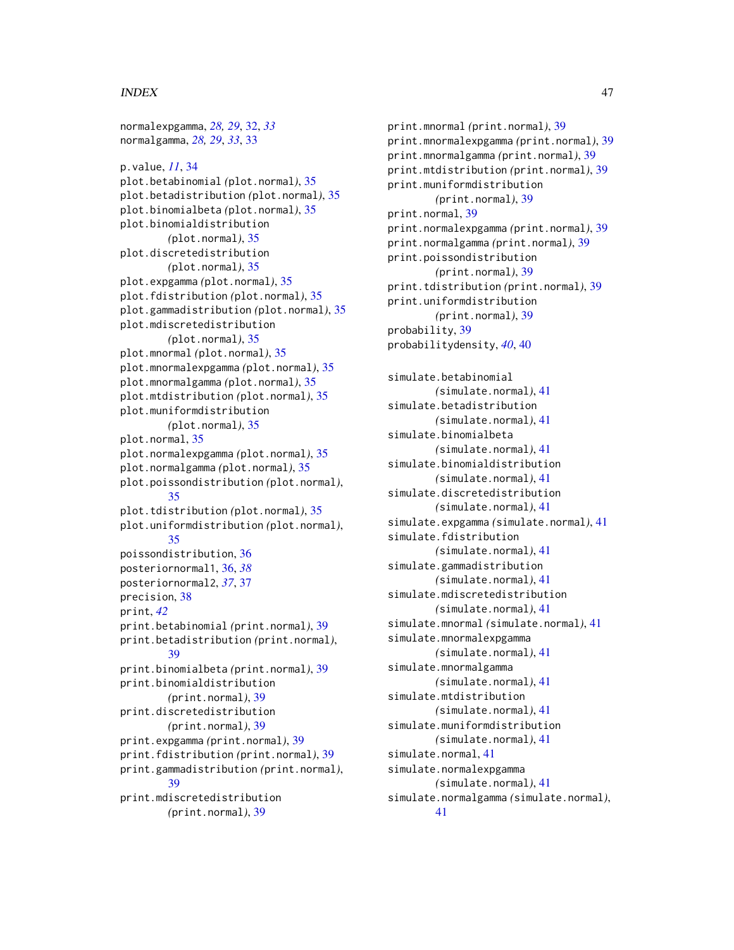#### INDEX 47

normalexpgamma, *[28,](#page-27-0) [29](#page-28-0)*, [32,](#page-31-0) *[33](#page-32-0)* normalgamma, *[28,](#page-27-0) [29](#page-28-0)*, *[33](#page-32-0)*, [33](#page-32-0) p.value, *[11](#page-10-0)*, [34](#page-33-0) plot.betabinomial *(*plot.normal*)*, [35](#page-34-0) plot.betadistribution *(*plot.normal*)*, [35](#page-34-0) plot.binomialbeta *(*plot.normal*)*, [35](#page-34-0) plot.binomialdistribution *(*plot.normal*)*, [35](#page-34-0) plot.discretedistribution *(*plot.normal*)*, [35](#page-34-0) plot.expgamma *(*plot.normal*)*, [35](#page-34-0) plot.fdistribution *(*plot.normal*)*, [35](#page-34-0) plot.gammadistribution *(*plot.normal*)*, [35](#page-34-0) plot.mdiscretedistribution *(*plot.normal*)*, [35](#page-34-0) plot.mnormal *(*plot.normal*)*, [35](#page-34-0) plot.mnormalexpgamma *(*plot.normal*)*, [35](#page-34-0) plot.mnormalgamma *(*plot.normal*)*, [35](#page-34-0) plot.mtdistribution *(*plot.normal*)*, [35](#page-34-0) plot.muniformdistribution *(*plot.normal*)*, [35](#page-34-0) plot.normal, [35](#page-34-0) plot.normalexpgamma *(*plot.normal*)*, [35](#page-34-0) plot.normalgamma *(*plot.normal*)*, [35](#page-34-0) plot.poissondistribution *(*plot.normal*)*, [35](#page-34-0) plot.tdistribution *(*plot.normal*)*, [35](#page-34-0) plot.uniformdistribution *(*plot.normal*)*, [35](#page-34-0) poissondistribution, [36](#page-35-0) posteriornormal1, [36,](#page-35-0) *[38](#page-37-0)* posteriornormal2, *[37](#page-36-0)*, [37](#page-36-0) precision, [38](#page-37-0) print, *[42](#page-41-0)* print.betabinomial *(*print.normal*)*, [39](#page-38-0) print.betadistribution *(*print.normal*)*, [39](#page-38-0) print.binomialbeta *(*print.normal*)*, [39](#page-38-0) print.binomialdistribution *(*print.normal*)*, [39](#page-38-0) print.discretedistribution *(*print.normal*)*, [39](#page-38-0) print.expgamma *(*print.normal*)*, [39](#page-38-0) print.fdistribution *(*print.normal*)*, [39](#page-38-0) print.gammadistribution *(*print.normal*)*, [39](#page-38-0) print.mdiscretedistribution *(*print.normal*)*, [39](#page-38-0)

print.mnormal *(*print.normal*)*, [39](#page-38-0) print.mnormalexpgamma *(*print.normal*)*, [39](#page-38-0) print.mnormalgamma *(*print.normal*)*, [39](#page-38-0) print.mtdistribution *(*print.normal*)*, [39](#page-38-0) print.muniformdistribution *(*print.normal*)*, [39](#page-38-0) print.normal, [39](#page-38-0) print.normalexpgamma *(*print.normal*)*, [39](#page-38-0) print.normalgamma *(*print.normal*)*, [39](#page-38-0) print.poissondistribution *(*print.normal*)*, [39](#page-38-0) print.tdistribution *(*print.normal*)*, [39](#page-38-0) print.uniformdistribution *(*print.normal*)*, [39](#page-38-0) probability, [39](#page-38-0) probabilitydensity, *[40](#page-39-0)*, [40](#page-39-0) simulate.betabinomial *(*simulate.normal*)*, [41](#page-40-0) simulate.betadistribution *(*simulate.normal*)*, [41](#page-40-0) simulate.binomialbeta *(*simulate.normal*)*, [41](#page-40-0) simulate.binomialdistribution *(*simulate.normal*)*, [41](#page-40-0) simulate.discretedistribution *(*simulate.normal*)*, [41](#page-40-0) simulate.expgamma *(*simulate.normal*)*, [41](#page-40-0) simulate.fdistribution *(*simulate.normal*)*, [41](#page-40-0) simulate.gammadistribution *(*simulate.normal*)*, [41](#page-40-0) simulate.mdiscretedistribution *(*simulate.normal*)*, [41](#page-40-0) simulate.mnormal *(*simulate.normal*)*, [41](#page-40-0) simulate.mnormalexpgamma *(*simulate.normal*)*, [41](#page-40-0) simulate.mnormalgamma *(*simulate.normal*)*, [41](#page-40-0) simulate.mtdistribution *(*simulate.normal*)*, [41](#page-40-0) simulate.muniformdistribution *(*simulate.normal*)*, [41](#page-40-0) simulate.normal, [41](#page-40-0) simulate.normalexpgamma *(*simulate.normal*)*, [41](#page-40-0) simulate.normalgamma *(*simulate.normal*)*, [41](#page-40-0)